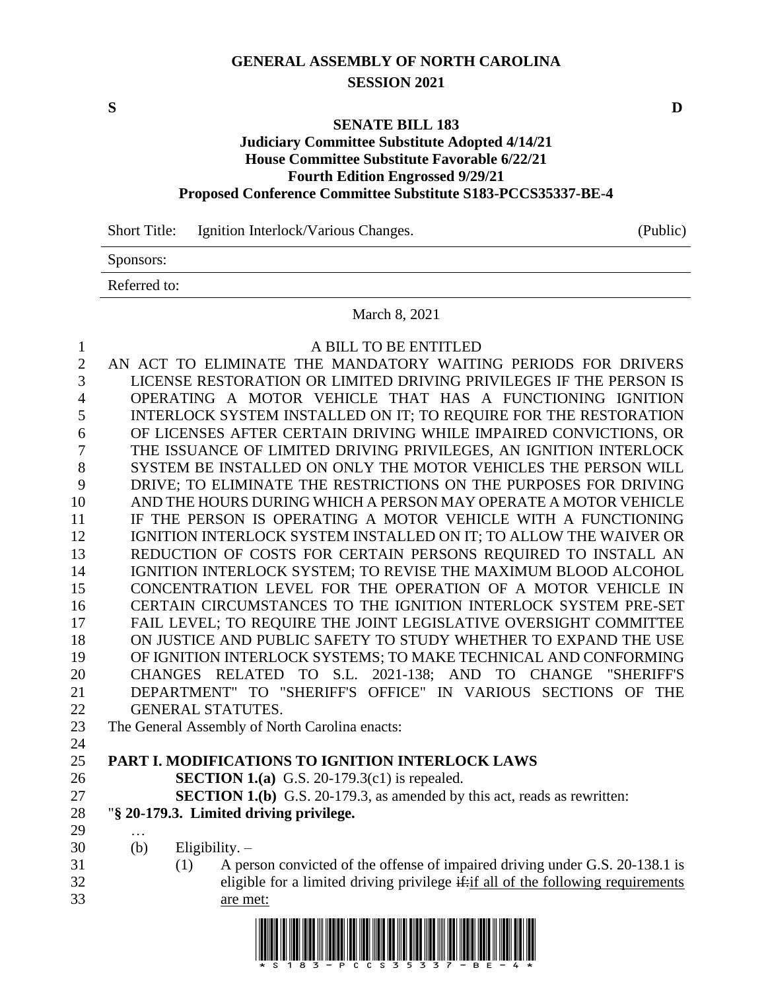## **GENERAL ASSEMBLY OF NORTH CAROLINA SESSION 2021**

#### **SENATE BILL 183**

### **Judiciary Committee Substitute Adopted 4/14/21 House Committee Substitute Favorable 6/22/21 Fourth Edition Engrossed 9/29/21 Proposed Conference Committee Substitute S183-PCCS35337-BE-4**

| <b>Short Title:</b> | Ignition Interlock/Various Changes. | (Public) |
|---------------------|-------------------------------------|----------|
| Sponsors:           |                                     |          |
| Referred to:        |                                     |          |

March 8, 2021

 A BILL TO BE ENTITLED AN ACT TO ELIMINATE THE MANDATORY WAITING PERIODS FOR DRIVERS LICENSE RESTORATION OR LIMITED DRIVING PRIVILEGES IF THE PERSON IS OPERATING A MOTOR VEHICLE THAT HAS A FUNCTIONING IGNITION INTERLOCK SYSTEM INSTALLED ON IT; TO REQUIRE FOR THE RESTORATION OF LICENSES AFTER CERTAIN DRIVING WHILE IMPAIRED CONVICTIONS, OR THE ISSUANCE OF LIMITED DRIVING PRIVILEGES, AN IGNITION INTERLOCK SYSTEM BE INSTALLED ON ONLY THE MOTOR VEHICLES THE PERSON WILL DRIVE; TO ELIMINATE THE RESTRICTIONS ON THE PURPOSES FOR DRIVING AND THE HOURS DURING WHICH A PERSON MAY OPERATE A MOTOR VEHICLE IF THE PERSON IS OPERATING A MOTOR VEHICLE WITH A FUNCTIONING 12 IGNITION INTERLOCK SYSTEM INSTALLED ON IT; TO ALLOW THE WAIVER OR REDUCTION OF COSTS FOR CERTAIN PERSONS REQUIRED TO INSTALL AN IGNITION INTERLOCK SYSTEM; TO REVISE THE MAXIMUM BLOOD ALCOHOL CONCENTRATION LEVEL FOR THE OPERATION OF A MOTOR VEHICLE IN CERTAIN CIRCUMSTANCES TO THE IGNITION INTERLOCK SYSTEM PRE-SET FAIL LEVEL; TO REQUIRE THE JOINT LEGISLATIVE OVERSIGHT COMMITTEE ON JUSTICE AND PUBLIC SAFETY TO STUDY WHETHER TO EXPAND THE USE OF IGNITION INTERLOCK SYSTEMS; TO MAKE TECHNICAL AND CONFORMING CHANGES RELATED TO S.L. 2021-138; AND TO CHANGE "SHERIFF'S DEPARTMENT" TO "SHERIFF'S OFFICE" IN VARIOUS SECTIONS OF THE GENERAL STATUTES. The General Assembly of North Carolina enacts: **PART I. MODIFICATIONS TO IGNITION INTERLOCK LAWS SECTION 1.(a)** G.S. 20-179.3(c1) is repealed. **SECTION 1.(b)** G.S. 20-179.3, as amended by this act, reads as rewritten:

#### "**§ 20-179.3. Limited driving privilege.** …

(b) Eligibility. –

- 
- 

 (1) A person convicted of the offense of impaired driving under G.S. 20-138.1 is 32 eligible for a limited driving privilege if: if all of the following requirements are met:



**S D**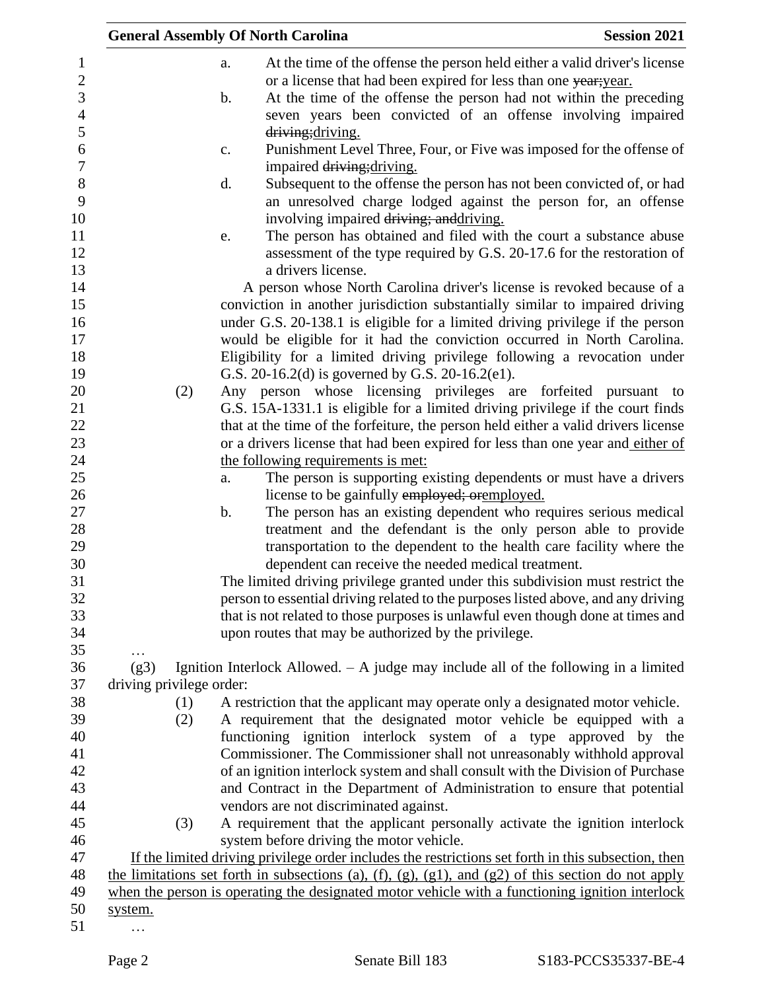|                          | <b>General Assembly Of North Carolina</b>                                                                                                                                                  | <b>Session 2021</b> |
|--------------------------|--------------------------------------------------------------------------------------------------------------------------------------------------------------------------------------------|---------------------|
|                          | At the time of the offense the person held either a valid driver's license<br>a.                                                                                                           |                     |
|                          | or a license that had been expired for less than one year; year.                                                                                                                           |                     |
|                          | At the time of the offense the person had not within the preceding<br>b.                                                                                                                   |                     |
|                          | seven years been convicted of an offense involving impaired                                                                                                                                |                     |
|                          |                                                                                                                                                                                            |                     |
|                          | driving; driving.<br>Punishment Level Three, Four, or Five was imposed for the offense of<br>$\mathbf{c}$ .                                                                                |                     |
|                          | impaired driving; driving.                                                                                                                                                                 |                     |
|                          | Subsequent to the offense the person has not been convicted of, or had<br>d.<br>an unresolved charge lodged against the person for, an offense<br>involving impaired driving; and driving. |                     |
|                          | The person has obtained and filed with the court a substance abuse<br>e.                                                                                                                   |                     |
|                          | assessment of the type required by G.S. 20-17.6 for the restoration of<br>a drivers license.                                                                                               |                     |
|                          | A person whose North Carolina driver's license is revoked because of a                                                                                                                     |                     |
|                          |                                                                                                                                                                                            |                     |
|                          | conviction in another jurisdiction substantially similar to impaired driving                                                                                                               |                     |
|                          | under G.S. 20-138.1 is eligible for a limited driving privilege if the person                                                                                                              |                     |
|                          | would be eligible for it had the conviction occurred in North Carolina.                                                                                                                    |                     |
|                          | Eligibility for a limited driving privilege following a revocation under                                                                                                                   |                     |
|                          | G.S. 20-16.2(d) is governed by G.S. 20-16.2(e1).                                                                                                                                           |                     |
| (2)                      | Any person whose licensing privileges are forfeited pursuant to                                                                                                                            |                     |
|                          | G.S. 15A-1331.1 is eligible for a limited driving privilege if the court finds                                                                                                             |                     |
|                          | that at the time of the forfeiture, the person held either a valid drivers license                                                                                                         |                     |
|                          | or a drivers license that had been expired for less than one year and either of                                                                                                            |                     |
|                          | the following requirements is met:                                                                                                                                                         |                     |
|                          | The person is supporting existing dependents or must have a drivers<br>a.                                                                                                                  |                     |
|                          | license to be gainfully employed; orgmployed.                                                                                                                                              |                     |
|                          | The person has an existing dependent who requires serious medical<br>b.                                                                                                                    |                     |
|                          | treatment and the defendant is the only person able to provide                                                                                                                             |                     |
|                          | transportation to the dependent to the health care facility where the<br>dependent can receive the needed medical treatment.                                                               |                     |
|                          |                                                                                                                                                                                            |                     |
|                          | The limited driving privilege granted under this subdivision must restrict the                                                                                                             |                     |
|                          | person to essential driving related to the purposes listed above, and any driving                                                                                                          |                     |
|                          | that is not related to those purposes is unlawful even though done at times and                                                                                                            |                     |
|                          | upon routes that may be authorized by the privilege.                                                                                                                                       |                     |
|                          |                                                                                                                                                                                            |                     |
| (g3)                     | Ignition Interlock Allowed. $- A$ judge may include all of the following in a limited                                                                                                      |                     |
| driving privilege order: |                                                                                                                                                                                            |                     |
| (1)                      | A restriction that the applicant may operate only a designated motor vehicle.                                                                                                              |                     |
| (2)                      | A requirement that the designated motor vehicle be equipped with a                                                                                                                         |                     |
|                          | functioning ignition interlock system of a type approved by the                                                                                                                            |                     |
|                          | Commissioner. The Commissioner shall not unreasonably withhold approval                                                                                                                    |                     |
|                          | of an ignition interlock system and shall consult with the Division of Purchase                                                                                                            |                     |
|                          | and Contract in the Department of Administration to ensure that potential                                                                                                                  |                     |
|                          | vendors are not discriminated against.                                                                                                                                                     |                     |
| (3)                      | A requirement that the applicant personally activate the ignition interlock                                                                                                                |                     |
|                          | system before driving the motor vehicle.                                                                                                                                                   |                     |
|                          | If the limited driving privilege order includes the restrictions set forth in this subsection, then                                                                                        |                     |
|                          | the limitations set forth in subsections (a), (f), (g), (g1), and (g2) of this section do not apply                                                                                        |                     |
|                          | when the person is operating the designated motor vehicle with a functioning ignition interlock                                                                                            |                     |
| system.                  |                                                                                                                                                                                            |                     |
|                          |                                                                                                                                                                                            |                     |
|                          |                                                                                                                                                                                            |                     |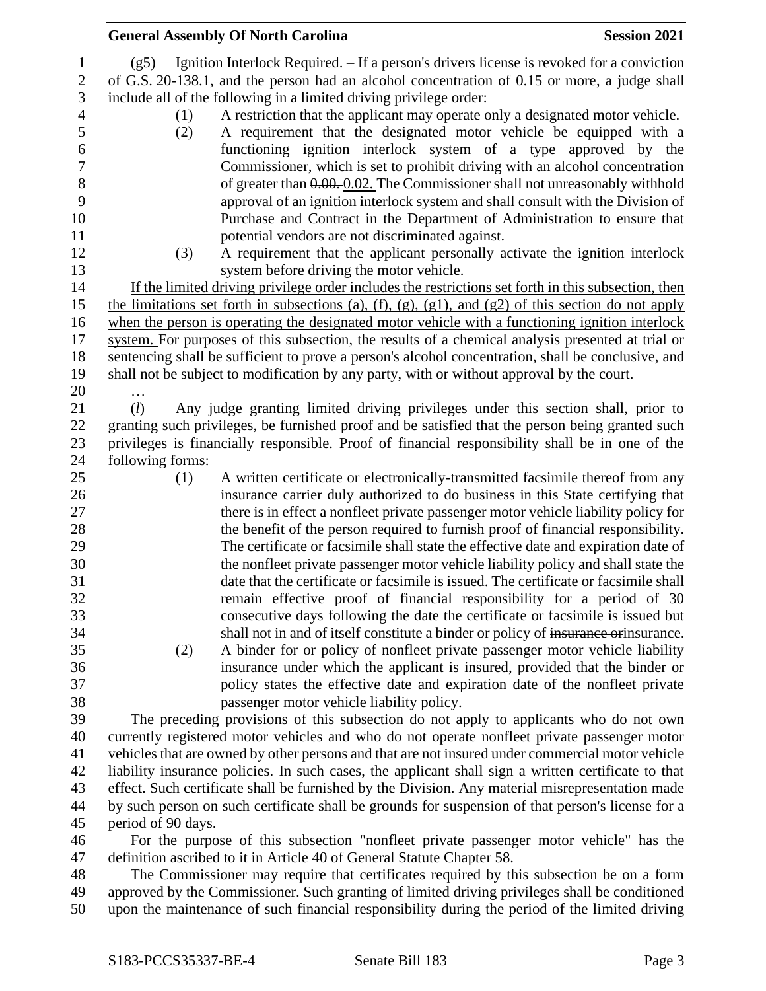| <b>General Assembly Of North Carolina</b><br><b>Session 2021</b>                                                                                                                                                                                                       |
|------------------------------------------------------------------------------------------------------------------------------------------------------------------------------------------------------------------------------------------------------------------------|
| Ignition Interlock Required. - If a person's drivers license is revoked for a conviction<br>(g5)<br>of G.S. 20-138.1, and the person had an alcohol concentration of 0.15 or more, a judge shall<br>include all of the following in a limited driving privilege order: |
| A restriction that the applicant may operate only a designated motor vehicle.<br>(1)<br>A requirement that the designated motor vehicle be equipped with a<br>(2)                                                                                                      |
| functioning ignition interlock system of a type approved by the                                                                                                                                                                                                        |
| Commissioner, which is set to prohibit driving with an alcohol concentration<br>of greater than $0.00$ . $0.02$ . The Commissioner shall not unreasonably withhold                                                                                                     |
| approval of an ignition interlock system and shall consult with the Division of                                                                                                                                                                                        |
| Purchase and Contract in the Department of Administration to ensure that                                                                                                                                                                                               |
| potential vendors are not discriminated against.<br>(3)<br>A requirement that the applicant personally activate the ignition interlock                                                                                                                                 |
| system before driving the motor vehicle.                                                                                                                                                                                                                               |
| If the limited driving privilege order includes the restrictions set forth in this subsection, then                                                                                                                                                                    |
| the limitations set forth in subsections (a), (f), (g), (g1), and (g2) of this section do not apply<br>when the person is operating the designated motor vehicle with a functioning ignition interlock                                                                 |
| system. For purposes of this subsection, the results of a chemical analysis presented at trial or                                                                                                                                                                      |
| sentencing shall be sufficient to prove a person's alcohol concentration, shall be conclusive, and                                                                                                                                                                     |
| shall not be subject to modification by any party, with or without approval by the court.                                                                                                                                                                              |
|                                                                                                                                                                                                                                                                        |
| Any judge granting limited driving privileges under this section shall, prior to<br>(l)<br>granting such privileges, be furnished proof and be satisfied that the person being granted such                                                                            |
| privileges is financially responsible. Proof of financial responsibility shall be in one of the                                                                                                                                                                        |
| following forms:                                                                                                                                                                                                                                                       |
| A written certificate or electronically-transmitted facsimile thereof from any<br>(1)                                                                                                                                                                                  |
| insurance carrier duly authorized to do business in this State certifying that                                                                                                                                                                                         |
| there is in effect a nonfleet private passenger motor vehicle liability policy for<br>the benefit of the person required to furnish proof of financial responsibility.                                                                                                 |
| The certificate or facsimile shall state the effective date and expiration date of                                                                                                                                                                                     |
| the nonfleet private passenger motor vehicle liability policy and shall state the                                                                                                                                                                                      |
| date that the certificate or facsimile is issued. The certificate or facsimile shall                                                                                                                                                                                   |
| remain effective proof of financial responsibility for a period of 30                                                                                                                                                                                                  |
| consecutive days following the date the certificate or facsimile is issued but<br>shall not in and of itself constitute a binder or policy of insurance orinsurance.                                                                                                   |
| A binder for or policy of nonfleet private passenger motor vehicle liability<br>(2)                                                                                                                                                                                    |
| insurance under which the applicant is insured, provided that the binder or                                                                                                                                                                                            |
| policy states the effective date and expiration date of the nonfleet private                                                                                                                                                                                           |
| passenger motor vehicle liability policy.                                                                                                                                                                                                                              |
| The preceding provisions of this subsection do not apply to applicants who do not own<br>currently registered motor vehicles and who do not operate nonfleet private passenger motor                                                                                   |
| vehicles that are owned by other persons and that are not insured under commercial motor vehicle                                                                                                                                                                       |
| liability insurance policies. In such cases, the applicant shall sign a written certificate to that                                                                                                                                                                    |
| effect. Such certificate shall be furnished by the Division. Any material misrepresentation made                                                                                                                                                                       |
| by such person on such certificate shall be grounds for suspension of that person's license for a                                                                                                                                                                      |
| period of 90 days.                                                                                                                                                                                                                                                     |
| For the purpose of this subsection "nonfleet private passenger motor vehicle" has the                                                                                                                                                                                  |

 definition ascribed to it in Article 40 of General Statute Chapter 58. The Commissioner may require that certificates required by this subsection be on a form

approved by the Commissioner. Such granting of limited driving privileges shall be conditioned

upon the maintenance of such financial responsibility during the period of the limited driving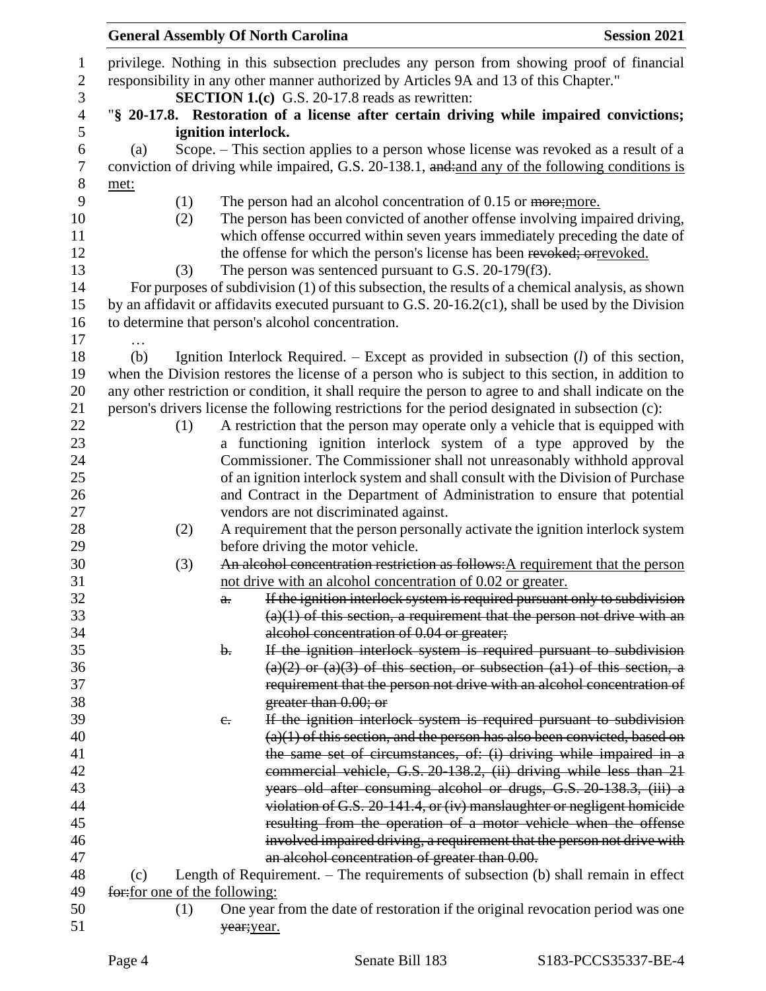|                  |                                                                                       |     |                     | <b>General Assembly Of North Carolina</b>                                                                           | <b>Session 2021</b> |  |
|------------------|---------------------------------------------------------------------------------------|-----|---------------------|---------------------------------------------------------------------------------------------------------------------|---------------------|--|
| $\mathbf{1}$     |                                                                                       |     |                     | privilege. Nothing in this subsection precludes any person from showing proof of financial                          |                     |  |
| $\sqrt{2}$       | responsibility in any other manner authorized by Articles 9A and 13 of this Chapter." |     |                     |                                                                                                                     |                     |  |
| 3                | <b>SECTION 1.(c)</b> G.S. 20-17.8 reads as rewritten:                                 |     |                     |                                                                                                                     |                     |  |
| $\overline{4}$   |                                                                                       |     |                     | "§ 20-17.8. Restoration of a license after certain driving while impaired convictions;                              |                     |  |
| 5                |                                                                                       |     | ignition interlock. |                                                                                                                     |                     |  |
| $\boldsymbol{6}$ | (a)                                                                                   |     |                     | Scope. – This section applies to a person whose license was revoked as a result of a                                |                     |  |
| $\boldsymbol{7}$ |                                                                                       |     |                     | conviction of driving while impaired, G.S. 20-138.1, and:and any of the following conditions is                     |                     |  |
| $\,$ 8 $\,$      | met:                                                                                  |     |                     |                                                                                                                     |                     |  |
| 9                |                                                                                       | (1) |                     | The person had an alcohol concentration of 0.15 or more; more.                                                      |                     |  |
| 10               |                                                                                       | (2) |                     | The person has been convicted of another offense involving impaired driving,                                        |                     |  |
| 11               |                                                                                       |     |                     | which offense occurred within seven years immediately preceding the date of                                         |                     |  |
| 12               |                                                                                       |     |                     | the offense for which the person's license has been revoked; or revoked.                                            |                     |  |
| 13               |                                                                                       | (3) |                     | The person was sentenced pursuant to G.S. 20-179(f3).                                                               |                     |  |
| 14               |                                                                                       |     |                     | For purposes of subdivision (1) of this subsection, the results of a chemical analysis, as shown                    |                     |  |
| 15               |                                                                                       |     |                     | by an affidavit or affidavits executed pursuant to G.S. $20-16.2(c1)$ , shall be used by the Division               |                     |  |
| 16               |                                                                                       |     |                     | to determine that person's alcohol concentration.                                                                   |                     |  |
| 17               |                                                                                       |     |                     |                                                                                                                     |                     |  |
| 18               | (b)                                                                                   |     |                     | Ignition Interlock Required. – Except as provided in subsection $(l)$ of this section,                              |                     |  |
| 19               |                                                                                       |     |                     | when the Division restores the license of a person who is subject to this section, in addition to                   |                     |  |
| 20               |                                                                                       |     |                     | any other restriction or condition, it shall require the person to agree to and shall indicate on the               |                     |  |
| 21               |                                                                                       |     |                     | person's drivers license the following restrictions for the period designated in subsection (c):                    |                     |  |
| 22               |                                                                                       | (1) |                     | A restriction that the person may operate only a vehicle that is equipped with                                      |                     |  |
| 23               |                                                                                       |     |                     | a functioning ignition interlock system of a type approved by the                                                   |                     |  |
| 24               |                                                                                       |     |                     | Commissioner. The Commissioner shall not unreasonably withhold approval                                             |                     |  |
| 25               |                                                                                       |     |                     | of an ignition interlock system and shall consult with the Division of Purchase                                     |                     |  |
| 26               |                                                                                       |     |                     | and Contract in the Department of Administration to ensure that potential                                           |                     |  |
| 27               |                                                                                       |     |                     | vendors are not discriminated against.                                                                              |                     |  |
| 28<br>29         |                                                                                       | (2) |                     | A requirement that the person personally activate the ignition interlock system                                     |                     |  |
| 30               |                                                                                       | (3) |                     | before driving the motor vehicle.<br>An alcohol concentration restriction as follows: A requirement that the person |                     |  |
| 31               |                                                                                       |     |                     | not drive with an alcohol concentration of 0.02 or greater.                                                         |                     |  |
| 32               |                                                                                       |     | a.                  | If the ignition interlock system is required pursuant only to subdivision                                           |                     |  |
| 33               |                                                                                       |     |                     | $(a)(1)$ of this section, a requirement that the person not drive with an                                           |                     |  |
| 34               |                                                                                       |     |                     | alcohol concentration of 0.04 or greater;                                                                           |                     |  |
| 35               |                                                                                       |     | $\mathbf{b}$ .      | If the ignition interlock system is required pursuant to subdivision                                                |                     |  |
| 36               |                                                                                       |     |                     | $(a)(2)$ or $(a)(3)$ of this section, or subsection $(a1)$ of this section, a                                       |                     |  |
| 37               |                                                                                       |     |                     | requirement that the person not drive with an alcohol concentration of                                              |                     |  |
| 38               |                                                                                       |     |                     | greater than 0.00; or                                                                                               |                     |  |
| 39               |                                                                                       |     | $e_{\cdot}$         | If the ignition interlock system is required pursuant to subdivision                                                |                     |  |
| 40               |                                                                                       |     |                     | $(a)(1)$ of this section, and the person has also been convicted, based on                                          |                     |  |
| 41               |                                                                                       |     |                     | the same set of circumstances, of: (i) driving while impaired in a                                                  |                     |  |
| 42               |                                                                                       |     |                     | commercial vehicle, G.S. 20-138.2, (ii) driving while less than 21                                                  |                     |  |
| 43               |                                                                                       |     |                     | years old after consuming alcohol or drugs, G.S. 20-138.3, (iii) a                                                  |                     |  |
| 44               |                                                                                       |     |                     | violation of G.S. 20-141.4, or (iv) manslaughter or negligent homicide                                              |                     |  |
| 45               |                                                                                       |     |                     | resulting from the operation of a motor vehicle when the offense                                                    |                     |  |
| 46               |                                                                                       |     |                     | involved impaired driving, a requirement that the person not drive with                                             |                     |  |
| 47               |                                                                                       |     |                     | an alcohol concentration of greater than 0.00.                                                                      |                     |  |
| 48               | (c)                                                                                   |     |                     | Length of Requirement. - The requirements of subsection (b) shall remain in effect                                  |                     |  |
| 49               | for: for one of the following:                                                        |     |                     |                                                                                                                     |                     |  |
| 50               |                                                                                       | (1) |                     | One year from the date of restoration if the original revocation period was one                                     |                     |  |
| 51               |                                                                                       |     | year; year.         |                                                                                                                     |                     |  |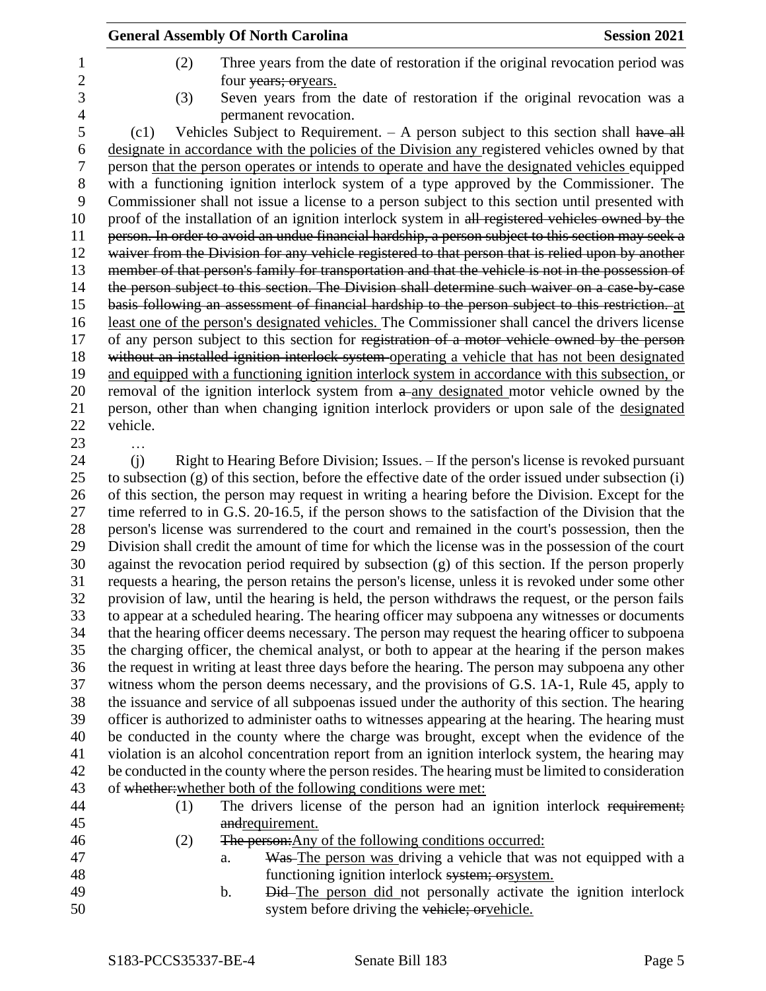|                     | <b>General Assembly Of North Carolina</b><br><b>Session 2021</b>                                                                                                                                       |
|---------------------|--------------------------------------------------------------------------------------------------------------------------------------------------------------------------------------------------------|
| 1<br>2              | Three years from the date of restoration if the original revocation period was<br>(2)<br>four years; oryears.                                                                                          |
| 3<br>$\overline{4}$ | Seven years from the date of restoration if the original revocation was a<br>(3)<br>permanent revocation.                                                                                              |
| 5                   | Vehicles Subject to Requirement. $- A$ person subject to this section shall have all<br>(c1)                                                                                                           |
| 6                   | designate in accordance with the policies of the Division any registered vehicles owned by that                                                                                                        |
| 7                   | person that the person operates or intends to operate and have the designated vehicles equipped                                                                                                        |
| $8\,$               | with a functioning ignition interlock system of a type approved by the Commissioner. The                                                                                                               |
| 9                   | Commissioner shall not issue a license to a person subject to this section until presented with                                                                                                        |
| 10                  | proof of the installation of an ignition interlock system in all registered vehicles owned by the                                                                                                      |
| 11                  | person. In order to avoid an undue financial hardship, a person subject to this section may seek a                                                                                                     |
| 12                  | waiver from the Division for any vehicle registered to that person that is relied upon by another                                                                                                      |
| 13                  | member of that person's family for transportation and that the vehicle is not in the possession of                                                                                                     |
| 14                  | the person subject to this section. The Division shall determine such waiver on a case by case                                                                                                         |
| 15<br>16            | basis following an assessment of financial hardship to the person subject to this restriction. at<br>least one of the person's designated vehicles. The Commissioner shall cancel the drivers license  |
| 17                  | of any person subject to this section for registration of a motor vehicle owned by the person                                                                                                          |
| 18                  | without an installed ignition interlock system operating a vehicle that has not been designated                                                                                                        |
| 19                  | and equipped with a functioning ignition interlock system in accordance with this subsection, or                                                                                                       |
| 20                  | removal of the ignition interlock system from a any designated motor vehicle owned by the                                                                                                              |
| 21                  | person, other than when changing ignition interlock providers or upon sale of the designated                                                                                                           |
| 22                  | vehicle.                                                                                                                                                                                               |
| 23                  |                                                                                                                                                                                                        |
| 24                  | Right to Hearing Before Division; Issues. - If the person's license is revoked pursuant<br>(i)                                                                                                         |
| 25                  | to subsection (g) of this section, before the effective date of the order issued under subsection (i)                                                                                                  |
| 26<br>27            | of this section, the person may request in writing a hearing before the Division. Except for the<br>time referred to in G.S. 20-16.5, if the person shows to the satisfaction of the Division that the |
| 28                  | person's license was surrendered to the court and remained in the court's possession, then the                                                                                                         |
| 29                  | Division shall credit the amount of time for which the license was in the possession of the court                                                                                                      |
| 30                  | against the revocation period required by subsection (g) of this section. If the person properly                                                                                                       |
| 31                  | requests a hearing, the person retains the person's license, unless it is revoked under some other                                                                                                     |
| 32                  | provision of law, until the hearing is held, the person withdraws the request, or the person fails                                                                                                     |
| 33                  | to appear at a scheduled hearing. The hearing officer may subpoena any witnesses or documents                                                                                                          |
| 34                  | that the hearing officer deems necessary. The person may request the hearing officer to subpoena                                                                                                       |
| 35                  | the charging officer, the chemical analyst, or both to appear at the hearing if the person makes                                                                                                       |
| 36                  | the request in writing at least three days before the hearing. The person may subpoena any other                                                                                                       |
| 37<br>38            | witness whom the person deems necessary, and the provisions of G.S. 1A-1, Rule 45, apply to<br>the issuance and service of all subpoenas issued under the authority of this section. The hearing       |
| 39                  | officer is authorized to administer oaths to witnesses appearing at the hearing. The hearing must                                                                                                      |
| 40                  | be conducted in the county where the charge was brought, except when the evidence of the                                                                                                               |
| 41                  | violation is an alcohol concentration report from an ignition interlock system, the hearing may                                                                                                        |
| 42                  | be conducted in the county where the person resides. The hearing must be limited to consideration                                                                                                      |
| 43                  | of whether: whether both of the following conditions were met:                                                                                                                                         |
| 44                  | The drivers license of the person had an ignition interlock requirement;<br>(1)                                                                                                                        |
| 45                  | andrequirement.                                                                                                                                                                                        |
| 46                  | The person: Any of the following conditions occurred:<br>(2)                                                                                                                                           |
| 47                  | Was The person was driving a vehicle that was not equipped with a<br>a.                                                                                                                                |
| 48                  | functioning ignition interlock system; or system.                                                                                                                                                      |

49 b. Did-The person did not personally activate the ignition interlock 50 system before driving the vehicle; or vehicle.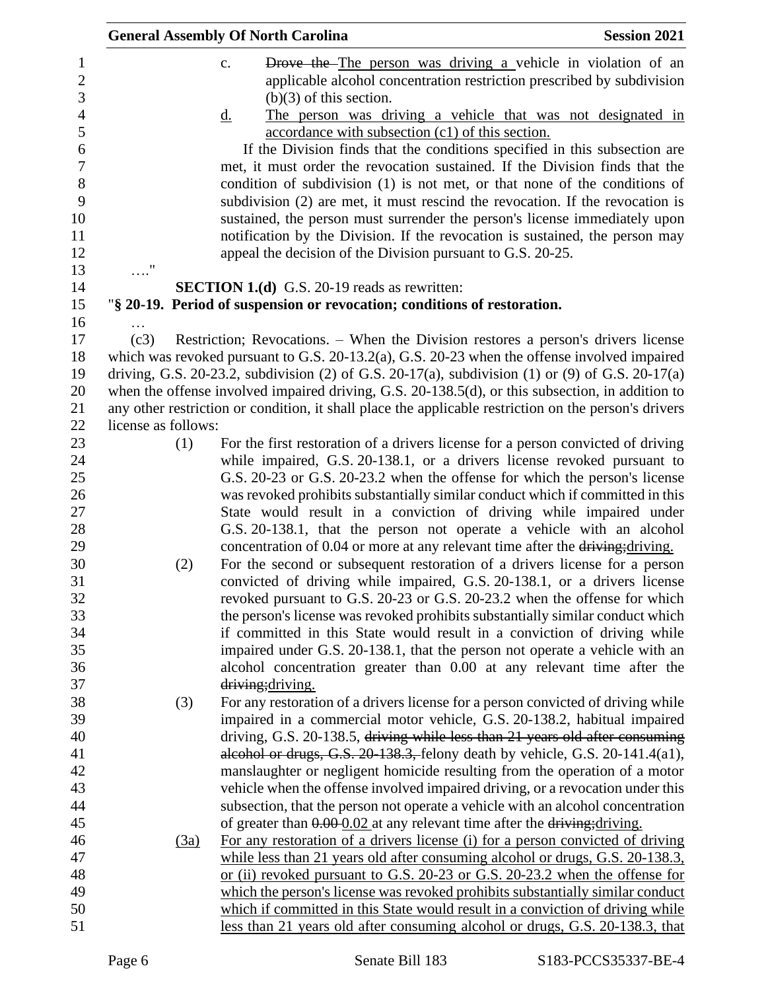|                     |      | <b>General Assembly Of North Carolina</b>                                                                                                                | <b>Session 2021</b> |
|---------------------|------|----------------------------------------------------------------------------------------------------------------------------------------------------------|---------------------|
|                     |      | <b>Drove the The person was driving a vehicle in violation of an</b><br>c.<br>applicable alcohol concentration restriction prescribed by subdivision     |                     |
|                     |      | $(b)(3)$ of this section.                                                                                                                                |                     |
|                     |      | The person was driving a vehicle that was not designated in<br><u>d.</u>                                                                                 |                     |
|                     |      | accordance with subsection (c1) of this section.                                                                                                         |                     |
|                     |      | If the Division finds that the conditions specified in this subsection are                                                                               |                     |
|                     |      | met, it must order the revocation sustained. If the Division finds that the                                                                              |                     |
|                     |      | condition of subdivision (1) is not met, or that none of the conditions of                                                                               |                     |
|                     |      | subdivision (2) are met, it must rescind the revocation. If the revocation is                                                                            |                     |
|                     |      | sustained, the person must surrender the person's license immediately upon                                                                               |                     |
|                     |      | notification by the Division. If the revocation is sustained, the person may                                                                             |                     |
|                     |      | appeal the decision of the Division pursuant to G.S. 20-25.                                                                                              |                     |
| $\ldots$ "          |      |                                                                                                                                                          |                     |
|                     |      | <b>SECTION 1.(d)</b> G.S. 20-19 reads as rewritten:                                                                                                      |                     |
|                     |      | "§ 20-19. Period of suspension or revocation; conditions of restoration.                                                                                 |                     |
| (c3)                |      | Restriction; Revocations. – When the Division restores a person's drivers license                                                                        |                     |
|                     |      | which was revoked pursuant to G.S. $20-13.2(a)$ , G.S. $20-23$ when the offense involved impaired                                                        |                     |
|                     |      | driving, G.S. 20-23.2, subdivision (2) of G.S. 20-17(a), subdivision (1) or (9) of G.S. 20-17(a)                                                         |                     |
|                     |      | when the offense involved impaired driving, G.S. 20-138.5(d), or this subsection, in addition to                                                         |                     |
|                     |      | any other restriction or condition, it shall place the applicable restriction on the person's drivers                                                    |                     |
| license as follows: |      |                                                                                                                                                          |                     |
|                     | (1)  | For the first restoration of a drivers license for a person convicted of driving                                                                         |                     |
|                     |      | while impaired, G.S. 20-138.1, or a drivers license revoked pursuant to                                                                                  |                     |
|                     |      | G.S. 20-23 or G.S. 20-23.2 when the offense for which the person's license                                                                               |                     |
|                     |      | was revoked prohibits substantially similar conduct which if committed in this                                                                           |                     |
|                     |      | State would result in a conviction of driving while impaired under                                                                                       |                     |
|                     |      | G.S. 20-138.1, that the person not operate a vehicle with an alcohol                                                                                     |                     |
|                     |      | concentration of 0.04 or more at any relevant time after the driving; driving.                                                                           |                     |
|                     | (2)  | For the second or subsequent restoration of a drivers license for a person                                                                               |                     |
|                     |      | convicted of driving while impaired, G.S. 20-138.1, or a drivers license                                                                                 |                     |
|                     |      | revoked pursuant to G.S. 20-23 or G.S. 20-23.2 when the offense for which                                                                                |                     |
|                     |      | the person's license was revoked prohibits substantially similar conduct which                                                                           |                     |
|                     |      | if committed in this State would result in a conviction of driving while                                                                                 |                     |
|                     |      | impaired under G.S. 20-138.1, that the person not operate a vehicle with an                                                                              |                     |
|                     |      | alcohol concentration greater than 0.00 at any relevant time after the                                                                                   |                     |
|                     |      | driving; driving.                                                                                                                                        |                     |
|                     | (3)  | For any restoration of a drivers license for a person convicted of driving while                                                                         |                     |
|                     |      | impaired in a commercial motor vehicle, G.S. 20-138.2, habitual impaired<br>driving, G.S. 20-138.5, driving while less than 21 years old after consuming |                     |
|                     |      | alcohol or drugs, G.S. $20-138.3$ , felony death by vehicle, G.S. $20-141.4(a1)$ ,                                                                       |                     |
|                     |      | manslaughter or negligent homicide resulting from the operation of a motor                                                                               |                     |
|                     |      | vehicle when the offense involved impaired driving, or a revocation under this                                                                           |                     |
|                     |      | subsection, that the person not operate a vehicle with an alcohol concentration                                                                          |                     |
|                     |      | of greater than $0.00 \cdot 0.02$ at any relevant time after the driving; driving.                                                                       |                     |
|                     | (3a) | For any restoration of a drivers license (i) for a person convicted of driving                                                                           |                     |
|                     |      | while less than 21 years old after consuming alcohol or drugs, G.S. 20-138.3,                                                                            |                     |
|                     |      | or (ii) revoked pursuant to G.S. 20-23 or G.S. 20-23.2 when the offense for                                                                              |                     |
|                     |      | which the person's license was revoked prohibits substantially similar conduct                                                                           |                     |
|                     |      | which if committed in this State would result in a conviction of driving while                                                                           |                     |
|                     |      | less than 21 years old after consuming alcohol or drugs, G.S. 20-138.3, that                                                                             |                     |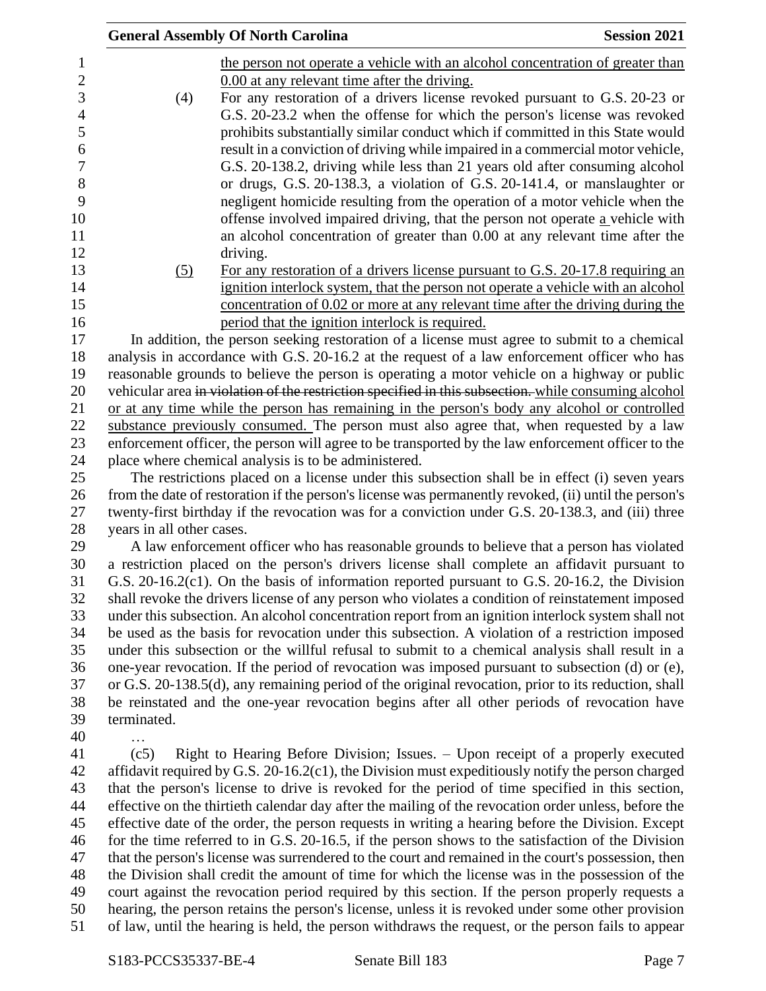|                               |                           | <b>General Assembly Of North Carolina</b>                                                                                                                                                                                                                                                                                   | <b>Session 2021</b> |
|-------------------------------|---------------------------|-----------------------------------------------------------------------------------------------------------------------------------------------------------------------------------------------------------------------------------------------------------------------------------------------------------------------------|---------------------|
| 1                             |                           | the person not operate a vehicle with an alcohol concentration of greater than                                                                                                                                                                                                                                              |                     |
| $\overline{2}$                |                           | 0.00 at any relevant time after the driving.                                                                                                                                                                                                                                                                                |                     |
| 3<br>$\overline{4}$<br>5<br>6 | (4)                       | For any restoration of a drivers license revoked pursuant to G.S. 20-23 or<br>G.S. 20-23.2 when the offense for which the person's license was revoked<br>prohibits substantially similar conduct which if committed in this State would<br>result in a conviction of driving while impaired in a commercial motor vehicle, |                     |
| $\tau$<br>$8\,$               |                           | G.S. 20-138.2, driving while less than 21 years old after consuming alcohol<br>or drugs, G.S. 20-138.3, a violation of G.S. 20-141.4, or manslaughter or                                                                                                                                                                    |                     |
| 9<br>10                       |                           | negligent homicide resulting from the operation of a motor vehicle when the<br>offense involved impaired driving, that the person not operate a vehicle with                                                                                                                                                                |                     |
| 11                            |                           | an alcohol concentration of greater than 0.00 at any relevant time after the                                                                                                                                                                                                                                                |                     |
| 12<br>13                      | $\left( 5\right)$         | driving.<br>For any restoration of a drivers license pursuant to G.S. 20-17.8 requiring an                                                                                                                                                                                                                                  |                     |
| 14<br>15                      |                           | ignition interlock system, that the person not operate a vehicle with an alcohol<br>concentration of 0.02 or more at any relevant time after the driving during the                                                                                                                                                         |                     |
| 16                            |                           | period that the ignition interlock is required.                                                                                                                                                                                                                                                                             |                     |
| 17<br>18                      |                           | In addition, the person seeking restoration of a license must agree to submit to a chemical<br>analysis in accordance with G.S. 20-16.2 at the request of a law enforcement officer who has                                                                                                                                 |                     |
| 19<br>20                      |                           | reasonable grounds to believe the person is operating a motor vehicle on a highway or public<br>vehicular area in violation of the restriction specified in this subsection. while consuming alcohol                                                                                                                        |                     |
| 21                            |                           | or at any time while the person has remaining in the person's body any alcohol or controlled                                                                                                                                                                                                                                |                     |
| 22                            |                           | substance previously consumed. The person must also agree that, when requested by a law                                                                                                                                                                                                                                     |                     |
| 23<br>24                      |                           | enforcement officer, the person will agree to be transported by the law enforcement officer to the<br>place where chemical analysis is to be administered.                                                                                                                                                                  |                     |
| 25                            |                           | The restrictions placed on a license under this subsection shall be in effect (i) seven years                                                                                                                                                                                                                               |                     |
| 26                            |                           | from the date of restoration if the person's license was permanently revoked, (ii) until the person's                                                                                                                                                                                                                       |                     |
| 27<br>28                      | years in all other cases. | twenty-first birthday if the revocation was for a conviction under G.S. 20-138.3, and (iii) three                                                                                                                                                                                                                           |                     |
| 29                            |                           | A law enforcement officer who has reasonable grounds to believe that a person has violated                                                                                                                                                                                                                                  |                     |
| 30<br>31                      |                           | a restriction placed on the person's drivers license shall complete an affidavit pursuant to<br>G.S. 20-16.2(c1). On the basis of information reported pursuant to G.S. 20-16.2, the Division                                                                                                                               |                     |
| 32                            |                           | shall revoke the drivers license of any person who violates a condition of reinstatement imposed                                                                                                                                                                                                                            |                     |
| 33                            |                           | under this subsection. An alcohol concentration report from an ignition interlock system shall not                                                                                                                                                                                                                          |                     |
| 34<br>35                      |                           | be used as the basis for revocation under this subsection. A violation of a restriction imposed<br>under this subsection or the willful refusal to submit to a chemical analysis shall result in a                                                                                                                          |                     |
| 36                            |                           | one-year revocation. If the period of revocation was imposed pursuant to subsection (d) or (e),                                                                                                                                                                                                                             |                     |
| 37                            |                           | or G.S. 20-138.5(d), any remaining period of the original revocation, prior to its reduction, shall<br>be reinstated and the one-year revocation begins after all other periods of revocation have                                                                                                                          |                     |
| 38<br>39                      | terminated.               |                                                                                                                                                                                                                                                                                                                             |                     |
| 40                            |                           |                                                                                                                                                                                                                                                                                                                             |                     |
| 41                            | (c5)                      | Right to Hearing Before Division; Issues. - Upon receipt of a properly executed                                                                                                                                                                                                                                             |                     |
| 42                            |                           | affidavit required by G.S. 20-16.2(c1), the Division must expeditiously notify the person charged                                                                                                                                                                                                                           |                     |
| 43<br>44                      |                           | that the person's license to drive is revoked for the period of time specified in this section,                                                                                                                                                                                                                             |                     |
| 45                            |                           | effective on the thirtieth calendar day after the mailing of the revocation order unless, before the<br>effective date of the order, the person requests in writing a hearing before the Division. Except                                                                                                                   |                     |
| 46                            |                           | for the time referred to in G.S. 20-16.5, if the person shows to the satisfaction of the Division                                                                                                                                                                                                                           |                     |
|                               |                           | that the person's license was surrendered to the court and remained in the court's possession, then                                                                                                                                                                                                                         |                     |
|                               |                           | the Division shall credit the amount of time for which the license was in the possession of the                                                                                                                                                                                                                             |                     |
|                               |                           | court against the revocation period required by this section. If the person properly requests a                                                                                                                                                                                                                             |                     |
| 50                            |                           | hearing, the person retains the person's license, unless it is revoked under some other provision<br>of law, until the hearing is held, the person withdraws the request, or the person fails to appear                                                                                                                     |                     |
|                               |                           |                                                                                                                                                                                                                                                                                                                             |                     |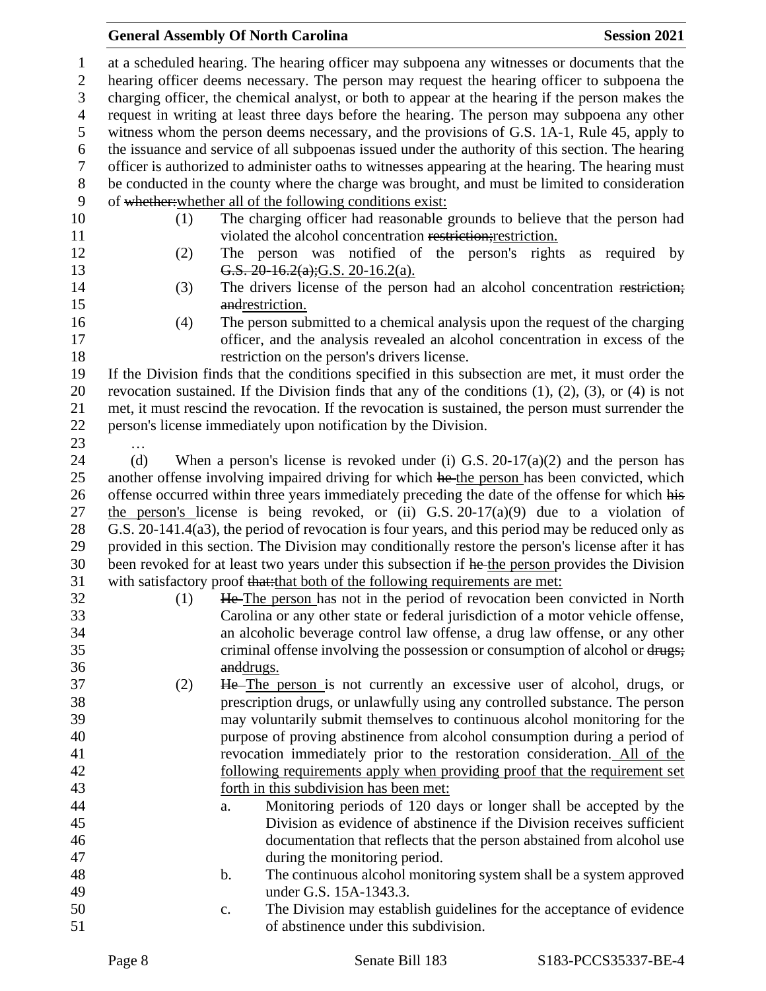at a scheduled hearing. The hearing officer may subpoena any witnesses or documents that the hearing officer deems necessary. The person may request the hearing officer to subpoena the charging officer, the chemical analyst, or both to appear at the hearing if the person makes the request in writing at least three days before the hearing. The person may subpoena any other witness whom the person deems necessary, and the provisions of G.S. 1A-1, Rule 45, apply to the issuance and service of all subpoenas issued under the authority of this section. The hearing officer is authorized to administer oaths to witnesses appearing at the hearing. The hearing must be conducted in the county where the charge was brought, and must be limited to consideration of whether:whether all of the following conditions exist: (1) The charging officer had reasonable grounds to believe that the person had 11 violated the alcohol concentration restriction; restriction. (2) The person was notified of the person's rights as required by **G.S. 20-16.2(a)**; G.S. 20-16.2(a). (3) The drivers license of the person had an alcohol concentration restriction; andrestriction. (4) The person submitted to a chemical analysis upon the request of the charging officer, and the analysis revealed an alcohol concentration in excess of the restriction on the person's drivers license. If the Division finds that the conditions specified in this subsection are met, it must order the revocation sustained. If the Division finds that any of the conditions (1), (2), (3), or (4) is not met, it must rescind the revocation. If the revocation is sustained, the person must surrender the person's license immediately upon notification by the Division. … 24 (d) When a person's license is revoked under (i) G.S.  $20-17(a)(2)$  and the person has 25 another offense involving impaired driving for which he the person has been convicted, which 26 offense occurred within three years immediately preceding the date of the offense for which his 27 the person's license is being revoked, or (ii) G.S.  $20-17(a)(9)$  due to a violation of G.S. 20-141.4(a3), the period of revocation is four years, and this period may be reduced only as provided in this section. The Division may conditionally restore the person's license after it has 30 been revoked for at least two years under this subsection if he the person provides the Division 31 with satisfactory proof that: that both of the following requirements are met: (1) He The person has not in the period of revocation been convicted in North Carolina or any other state or federal jurisdiction of a motor vehicle offense, an alcoholic beverage control law offense, a drug law offense, or any other 35 criminal offense involving the possession or consumption of alcohol or drugs; anddrugs. (2) He The person is not currently an excessive user of alcohol, drugs, or prescription drugs, or unlawfully using any controlled substance. The person may voluntarily submit themselves to continuous alcohol monitoring for the purpose of proving abstinence from alcohol consumption during a period of revocation immediately prior to the restoration consideration. All of the following requirements apply when providing proof that the requirement set forth in this subdivision has been met: a. Monitoring periods of 120 days or longer shall be accepted by the Division as evidence of abstinence if the Division receives sufficient documentation that reflects that the person abstained from alcohol use during the monitoring period. b. The continuous alcohol monitoring system shall be a system approved under G.S. 15A-1343.3. c. The Division may establish guidelines for the acceptance of evidence of abstinence under this subdivision.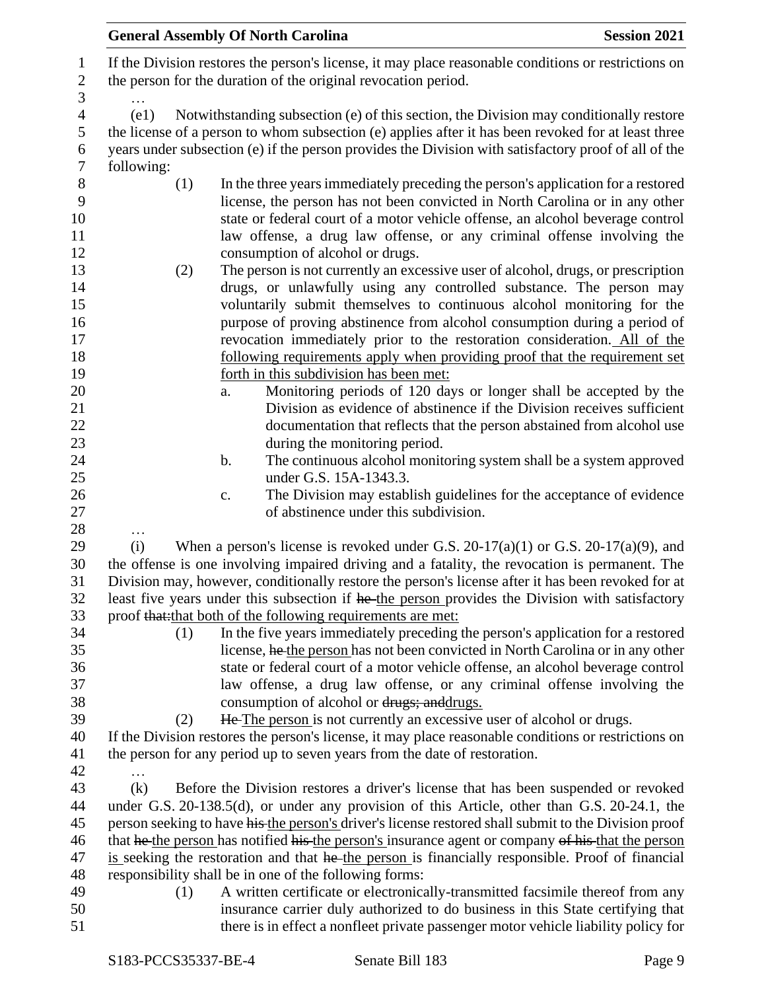|                                       | <b>General Assembly Of North Carolina</b><br><b>Session 2021</b>                                                                                                                                                                                                                                                                                                                                                                                                     |
|---------------------------------------|----------------------------------------------------------------------------------------------------------------------------------------------------------------------------------------------------------------------------------------------------------------------------------------------------------------------------------------------------------------------------------------------------------------------------------------------------------------------|
| 1<br>$\overline{2}$                   | If the Division restores the person's license, it may place reasonable conditions or restrictions on<br>the person for the duration of the original revocation period.                                                                                                                                                                                                                                                                                               |
| 3                                     |                                                                                                                                                                                                                                                                                                                                                                                                                                                                      |
| $\overline{4}$<br>5<br>6<br>$\tau$    | (e1)<br>Notwithstanding subsection (e) of this section, the Division may conditionally restore<br>the license of a person to whom subsection (e) applies after it has been revoked for at least three<br>years under subsection (e) if the person provides the Division with satisfactory proof of all of the<br>following:                                                                                                                                          |
| $8\phantom{1}$<br>9<br>10<br>11<br>12 | In the three years immediately preceding the person's application for a restored<br>(1)<br>license, the person has not been convicted in North Carolina or in any other<br>state or federal court of a motor vehicle offense, an alcohol beverage control<br>law offense, a drug law offense, or any criminal offense involving the<br>consumption of alcohol or drugs.                                                                                              |
|                                       |                                                                                                                                                                                                                                                                                                                                                                                                                                                                      |
| 13<br>14<br>15<br>16                  | The person is not currently an excessive user of alcohol, drugs, or prescription<br>(2)<br>drugs, or unlawfully using any controlled substance. The person may<br>voluntarily submit themselves to continuous alcohol monitoring for the<br>purpose of proving abstinence from alcohol consumption during a period of                                                                                                                                                |
| 17<br>18<br>19                        | revocation immediately prior to the restoration consideration. All of the<br>following requirements apply when providing proof that the requirement set<br>forth in this subdivision has been met:                                                                                                                                                                                                                                                                   |
| 20<br>21<br>22<br>23                  | Monitoring periods of 120 days or longer shall be accepted by the<br>a.<br>Division as evidence of abstinence if the Division receives sufficient<br>documentation that reflects that the person abstained from alcohol use<br>during the monitoring period.                                                                                                                                                                                                         |
| 24<br>25                              | The continuous alcohol monitoring system shall be a system approved<br>b.<br>under G.S. 15A-1343.3.                                                                                                                                                                                                                                                                                                                                                                  |
| 26<br>27                              | The Division may establish guidelines for the acceptance of evidence<br>c.<br>of abstinence under this subdivision.                                                                                                                                                                                                                                                                                                                                                  |
| 28                                    | .                                                                                                                                                                                                                                                                                                                                                                                                                                                                    |
| 29<br>30<br>31<br>32<br>33            | When a person's license is revoked under G.S. 20-17(a)(1) or G.S. 20-17(a)(9), and<br>(i)<br>the offense is one involving impaired driving and a fatality, the revocation is permanent. The<br>Division may, however, conditionally restore the person's license after it has been revoked for at<br>least five years under this subsection if he the person provides the Division with satisfactory<br>proof that: that both of the following requirements are met: |
| 34                                    | In the five years immediately preceding the person's application for a restored<br>(1)                                                                                                                                                                                                                                                                                                                                                                               |
| 35<br>36                              | license, he the person has not been convicted in North Carolina or in any other<br>state or federal court of a motor vehicle offense, an alcohol beverage control                                                                                                                                                                                                                                                                                                    |
| 37                                    | law offense, a drug law offense, or any criminal offense involving the                                                                                                                                                                                                                                                                                                                                                                                               |
| 38                                    | consumption of alcohol or drugs; and drugs.                                                                                                                                                                                                                                                                                                                                                                                                                          |
| 39                                    | He The person is not currently an excessive user of alcohol or drugs.<br>(2)                                                                                                                                                                                                                                                                                                                                                                                         |
| 40                                    | If the Division restores the person's license, it may place reasonable conditions or restrictions on                                                                                                                                                                                                                                                                                                                                                                 |
| 41                                    | the person for any period up to seven years from the date of restoration.                                                                                                                                                                                                                                                                                                                                                                                            |
| 42                                    |                                                                                                                                                                                                                                                                                                                                                                                                                                                                      |
| 43                                    | Before the Division restores a driver's license that has been suspended or revoked<br>(k)                                                                                                                                                                                                                                                                                                                                                                            |
| 44                                    | under G.S. 20-138.5(d), or under any provision of this Article, other than G.S. 20-24.1, the                                                                                                                                                                                                                                                                                                                                                                         |
| 45<br>46                              | person seeking to have his the person's driver's license restored shall submit to the Division proof                                                                                                                                                                                                                                                                                                                                                                 |
| 47                                    | that he the person has notified his the person's insurance agent or company of his that the person<br>is seeking the restoration and that he-the person is financially responsible. Proof of financial                                                                                                                                                                                                                                                               |
| 48                                    | responsibility shall be in one of the following forms:                                                                                                                                                                                                                                                                                                                                                                                                               |
| 49                                    | A written certificate or electronically-transmitted facsimile thereof from any<br>(1)                                                                                                                                                                                                                                                                                                                                                                                |
| 50<br>51                              | insurance carrier duly authorized to do business in this State certifying that<br>there is in effect a nonfleet private passenger motor vehicle liability policy for                                                                                                                                                                                                                                                                                                 |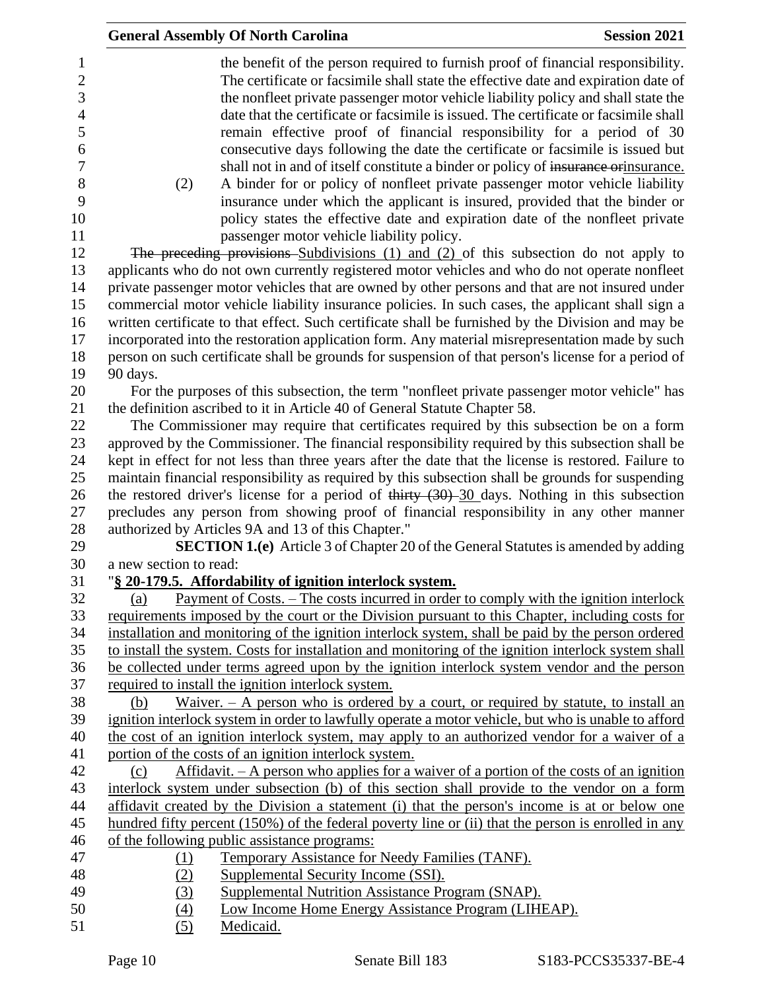|                                       | <b>General Assembly Of North Carolina</b><br><b>Session 2021</b>                                                                                                                                                                                            |  |
|---------------------------------------|-------------------------------------------------------------------------------------------------------------------------------------------------------------------------------------------------------------------------------------------------------------|--|
| 1<br>$\overline{c}$<br>$\overline{3}$ | the benefit of the person required to furnish proof of financial responsibility.<br>The certificate or facsimile shall state the effective date and expiration date of<br>the nonfleet private passenger motor vehicle liability policy and shall state the |  |
| $\overline{4}$                        | date that the certificate or facsimile is issued. The certificate or facsimile shall                                                                                                                                                                        |  |
| 5                                     | remain effective proof of financial responsibility for a period of 30                                                                                                                                                                                       |  |
| 6                                     | consecutive days following the date the certificate or facsimile is issued but                                                                                                                                                                              |  |
| $\overline{7}$                        | shall not in and of itself constitute a binder or policy of insurance orinsurance.                                                                                                                                                                          |  |
| 8                                     | A binder for or policy of nonfleet private passenger motor vehicle liability<br>(2)                                                                                                                                                                         |  |
| 9                                     | insurance under which the applicant is insured, provided that the binder or                                                                                                                                                                                 |  |
| 10                                    | policy states the effective date and expiration date of the nonfleet private                                                                                                                                                                                |  |
| 11                                    | passenger motor vehicle liability policy.                                                                                                                                                                                                                   |  |
| 12                                    | The preceding provisions Subdivisions $(1)$ and $(2)$ of this subsection do not apply to                                                                                                                                                                    |  |
| 13                                    | applicants who do not own currently registered motor vehicles and who do not operate nonfleet                                                                                                                                                               |  |
| 14<br>15                              | private passenger motor vehicles that are owned by other persons and that are not insured under                                                                                                                                                             |  |
| 16                                    | commercial motor vehicle liability insurance policies. In such cases, the applicant shall sign a<br>written certificate to that effect. Such certificate shall be furnished by the Division and may be                                                      |  |
| 17                                    | incorporated into the restoration application form. Any material misrepresentation made by such                                                                                                                                                             |  |
| 18                                    | person on such certificate shall be grounds for suspension of that person's license for a period of                                                                                                                                                         |  |
| 19                                    | 90 days.                                                                                                                                                                                                                                                    |  |
| 20                                    | For the purposes of this subsection, the term "nonfleet private passenger motor vehicle" has                                                                                                                                                                |  |
| 21                                    | the definition ascribed to it in Article 40 of General Statute Chapter 58.                                                                                                                                                                                  |  |
| 22                                    | The Commissioner may require that certificates required by this subsection be on a form                                                                                                                                                                     |  |
| 23                                    | approved by the Commissioner. The financial responsibility required by this subsection shall be                                                                                                                                                             |  |
| 24                                    | kept in effect for not less than three years after the date that the license is restored. Failure to                                                                                                                                                        |  |
| 25                                    | maintain financial responsibility as required by this subsection shall be grounds for suspending                                                                                                                                                            |  |
| 26                                    | the restored driver's license for a period of thirty $(30)$ - $30$ days. Nothing in this subsection                                                                                                                                                         |  |
| 27                                    | precludes any person from showing proof of financial responsibility in any other manner                                                                                                                                                                     |  |
| 28                                    | authorized by Articles 9A and 13 of this Chapter."                                                                                                                                                                                                          |  |
| 29                                    | SECTION 1.(e) Article 3 of Chapter 20 of the General Statutes is amended by adding                                                                                                                                                                          |  |
| 30                                    | a new section to read:                                                                                                                                                                                                                                      |  |
| 31                                    | "§ 20-179.5. Affordability of ignition interlock system.                                                                                                                                                                                                    |  |
| 32                                    | <u>Payment of Costs. – The costs incurred in order to comply with the ignition interlock</u><br>(a)                                                                                                                                                         |  |
| 33                                    | requirements imposed by the court or the Division pursuant to this Chapter, including costs for                                                                                                                                                             |  |
| 34                                    | installation and monitoring of the ignition interlock system, shall be paid by the person ordered                                                                                                                                                           |  |
| 35<br>36                              | to install the system. Costs for installation and monitoring of the ignition interlock system shall<br>be collected under terms agreed upon by the ignition interlock system vendor and the person                                                          |  |
| 37                                    | required to install the ignition interlock system.                                                                                                                                                                                                          |  |
| 38                                    | Waiver. $- A$ person who is ordered by a court, or required by statute, to install an<br>(b)                                                                                                                                                                |  |
| 39                                    | ignition interlock system in order to lawfully operate a motor vehicle, but who is unable to afford                                                                                                                                                         |  |
| 40                                    | the cost of an ignition interlock system, may apply to an authorized vendor for a waiver of a                                                                                                                                                               |  |
| 41                                    | portion of the costs of an ignition interlock system.                                                                                                                                                                                                       |  |
| 42                                    | Affidavit. $- A$ person who applies for a waiver of a portion of the costs of an ignition<br>(c)                                                                                                                                                            |  |
| 43                                    | interlock system under subsection (b) of this section shall provide to the vendor on a form                                                                                                                                                                 |  |
| 44                                    | affidavit created by the Division a statement (i) that the person's income is at or below one                                                                                                                                                               |  |
| 45                                    | hundred fifty percent (150%) of the federal poverty line or (ii) that the person is enrolled in any                                                                                                                                                         |  |
| 46                                    | of the following public assistance programs:                                                                                                                                                                                                                |  |
| 47                                    | Temporary Assistance for Needy Families (TANF).<br>(1)                                                                                                                                                                                                      |  |
| 48                                    | (2)<br>Supplemental Security Income (SSI).                                                                                                                                                                                                                  |  |
| 49                                    | (3)<br>Supplemental Nutrition Assistance Program (SNAP).                                                                                                                                                                                                    |  |
| 50                                    | (4)<br>Low Income Home Energy Assistance Program (LIHEAP).                                                                                                                                                                                                  |  |
| 51                                    | (5)<br>Medicaid.                                                                                                                                                                                                                                            |  |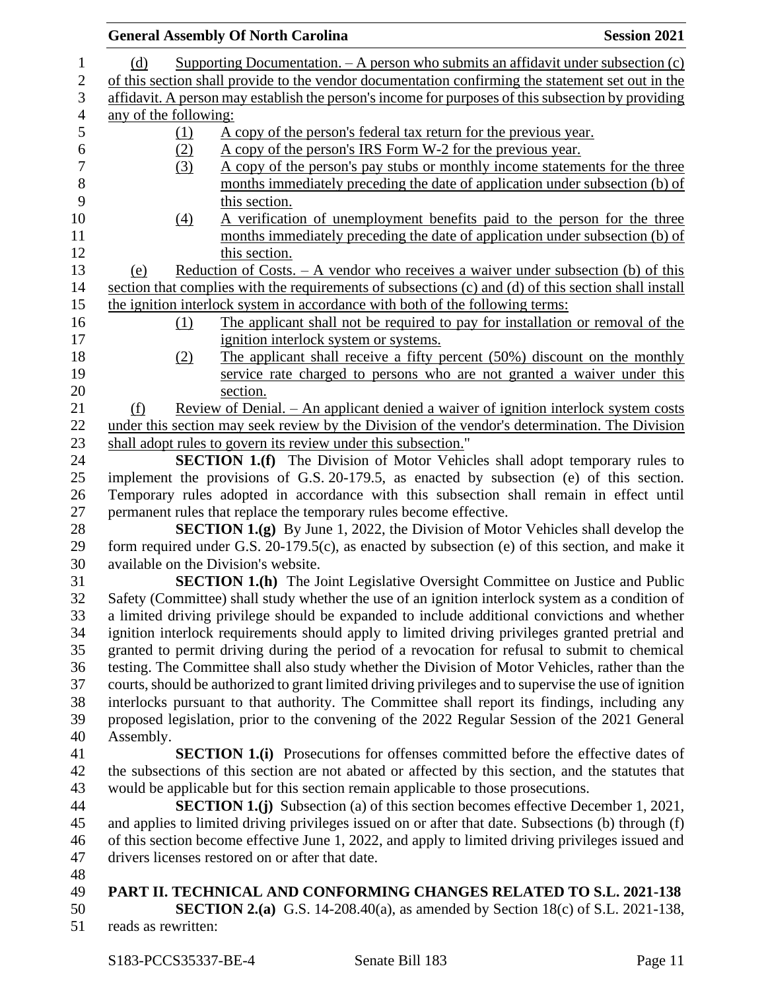|                  |                                                                                                    | <b>General Assembly Of North Carolina</b>                                                             | <b>Session 2021</b> |  |  |
|------------------|----------------------------------------------------------------------------------------------------|-------------------------------------------------------------------------------------------------------|---------------------|--|--|
| $\mathbf{1}$     | (d)                                                                                                | Supporting Documentation. $-A$ person who submits an affidavit under subsection (c)                   |                     |  |  |
| $\mathbf{2}$     | of this section shall provide to the vendor documentation confirming the statement set out in the  |                                                                                                       |                     |  |  |
| 3                | affidavit. A person may establish the person's income for purposes of this subsection by providing |                                                                                                       |                     |  |  |
| $\overline{4}$   | any of the following:                                                                              |                                                                                                       |                     |  |  |
| 5                | (1)                                                                                                | A copy of the person's federal tax return for the previous year.                                      |                     |  |  |
| 6                | (2)                                                                                                | A copy of the person's IRS Form W-2 for the previous year.                                            |                     |  |  |
| $\boldsymbol{7}$ | (3)                                                                                                | A copy of the person's pay stubs or monthly income statements for the three                           |                     |  |  |
| 8                |                                                                                                    | months immediately preceding the date of application under subsection (b) of                          |                     |  |  |
| 9                |                                                                                                    | this section.                                                                                         |                     |  |  |
| 10               | $\left(4\right)$                                                                                   | A verification of unemployment benefits paid to the person for the three                              |                     |  |  |
| 11               |                                                                                                    | months immediately preceding the date of application under subsection (b) of                          |                     |  |  |
| 12               |                                                                                                    | this section.                                                                                         |                     |  |  |
| 13               | (e)                                                                                                | Reduction of Costs. $- A$ vendor who receives a waiver under subsection (b) of this                   |                     |  |  |
| 14               |                                                                                                    | section that complies with the requirements of subsections (c) and (d) of this section shall install  |                     |  |  |
| 15               |                                                                                                    | the ignition interlock system in accordance with both of the following terms:                         |                     |  |  |
| 16               | (1)                                                                                                | The applicant shall not be required to pay for installation or removal of the                         |                     |  |  |
| 17               |                                                                                                    | ignition interlock system or systems.                                                                 |                     |  |  |
| 18               | (2)                                                                                                | The applicant shall receive a fifty percent (50%) discount on the monthly                             |                     |  |  |
| 19               |                                                                                                    | service rate charged to persons who are not granted a waiver under this                               |                     |  |  |
| 20               |                                                                                                    | section.                                                                                              |                     |  |  |
| 21               | (f)                                                                                                | <u>Review of Denial. – An applicant denied a waiver of ignition interlock system costs</u>            |                     |  |  |
| 22               |                                                                                                    | under this section may seek review by the Division of the vendor's determination. The Division        |                     |  |  |
| 23               |                                                                                                    | shall adopt rules to govern its review under this subsection."                                        |                     |  |  |
| 24               |                                                                                                    | <b>SECTION 1.(f)</b> The Division of Motor Vehicles shall adopt temporary rules to                    |                     |  |  |
| 25               |                                                                                                    | implement the provisions of G.S. 20-179.5, as enacted by subsection (e) of this section.              |                     |  |  |
| 26               |                                                                                                    | Temporary rules adopted in accordance with this subsection shall remain in effect until               |                     |  |  |
| 27               |                                                                                                    | permanent rules that replace the temporary rules become effective.                                    |                     |  |  |
| 28               |                                                                                                    | <b>SECTION 1.(g)</b> By June 1, 2022, the Division of Motor Vehicles shall develop the                |                     |  |  |
| 29               |                                                                                                    | form required under G.S. 20-179.5(c), as enacted by subsection (e) of this section, and make it       |                     |  |  |
| 30               |                                                                                                    | available on the Division's website.                                                                  |                     |  |  |
| 31               |                                                                                                    | <b>SECTION 1.(h)</b> The Joint Legislative Oversight Committee on Justice and Public                  |                     |  |  |
| 32               |                                                                                                    | Safety (Committee) shall study whether the use of an ignition interlock system as a condition of      |                     |  |  |
| 33               |                                                                                                    | a limited driving privilege should be expanded to include additional convictions and whether          |                     |  |  |
| 34               |                                                                                                    | ignition interlock requirements should apply to limited driving privileges granted pretrial and       |                     |  |  |
| 35               |                                                                                                    | granted to permit driving during the period of a revocation for refusal to submit to chemical         |                     |  |  |
| 36               |                                                                                                    | testing. The Committee shall also study whether the Division of Motor Vehicles, rather than the       |                     |  |  |
| 37               |                                                                                                    | courts, should be authorized to grant limited driving privileges and to supervise the use of ignition |                     |  |  |
| 38               |                                                                                                    | interlocks pursuant to that authority. The Committee shall report its findings, including any         |                     |  |  |
| 39               |                                                                                                    | proposed legislation, prior to the convening of the 2022 Regular Session of the 2021 General          |                     |  |  |
| 40               | Assembly.                                                                                          |                                                                                                       |                     |  |  |
| 41               |                                                                                                    | <b>SECTION 1.(i)</b> Prosecutions for offenses committed before the effective dates of                |                     |  |  |
| 42               |                                                                                                    | the subsections of this section are not abated or affected by this section, and the statutes that     |                     |  |  |
| 43               |                                                                                                    | would be applicable but for this section remain applicable to those prosecutions.                     |                     |  |  |
| 44               |                                                                                                    | <b>SECTION 1.(j)</b> Subsection (a) of this section becomes effective December 1, 2021,               |                     |  |  |
| 45               |                                                                                                    | and applies to limited driving privileges issued on or after that date. Subsections (b) through (f)   |                     |  |  |
| 46               |                                                                                                    | of this section become effective June 1, 2022, and apply to limited driving privileges issued and     |                     |  |  |
| 47               |                                                                                                    | drivers licenses restored on or after that date.                                                      |                     |  |  |
| 48               |                                                                                                    |                                                                                                       |                     |  |  |
| 49               |                                                                                                    | PART II. TECHNICAL AND CONFORMING CHANGES RELATED TO S.L. 2021-138                                    |                     |  |  |
| 50               |                                                                                                    | <b>SECTION 2.(a)</b> G.S. 14-208.40(a), as amended by Section 18(c) of S.L. 2021-138,                 |                     |  |  |
| 51               | reads as rewritten:                                                                                |                                                                                                       |                     |  |  |
|                  |                                                                                                    |                                                                                                       |                     |  |  |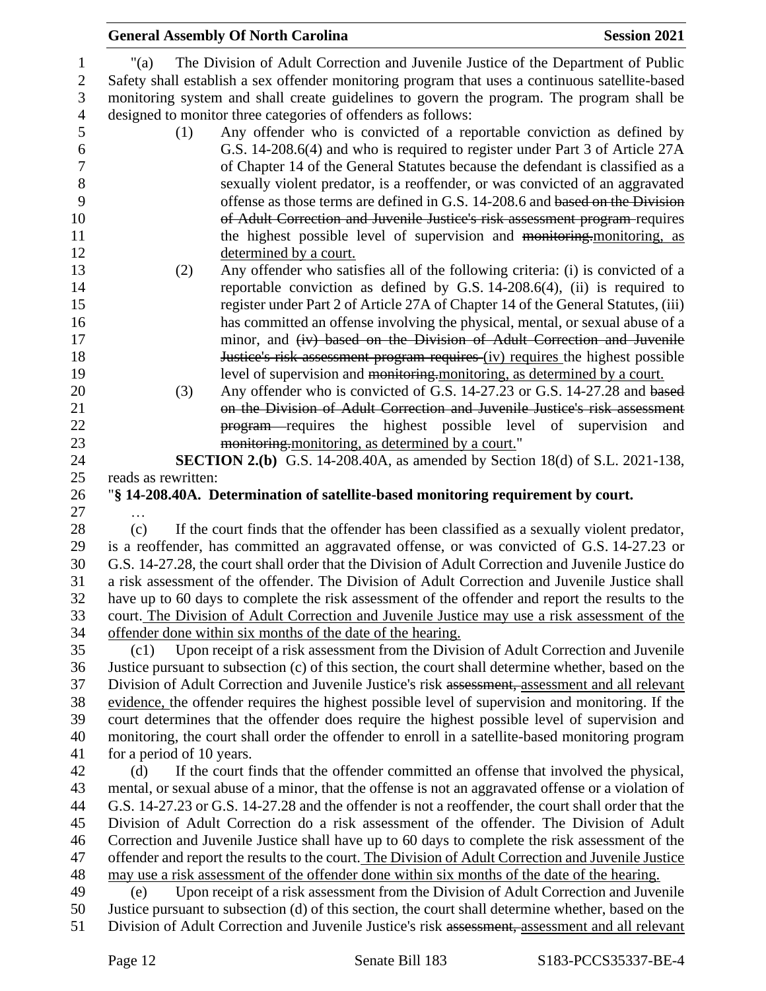|                   | <b>General Assembly Of North Carolina</b>                                                                                                                                                                  | <b>Session 2021</b> |
|-------------------|------------------------------------------------------------------------------------------------------------------------------------------------------------------------------------------------------------|---------------------|
| 1<br>$\mathbf{2}$ | The Division of Adult Correction and Juvenile Justice of the Department of Public<br>" $(a)$<br>Safety shall establish a sex offender monitoring program that uses a continuous satellite-based            |                     |
| 3                 | monitoring system and shall create guidelines to govern the program. The program shall be                                                                                                                  |                     |
| $\overline{4}$    | designed to monitor three categories of offenders as follows:                                                                                                                                              |                     |
| 5                 | Any offender who is convicted of a reportable conviction as defined by<br>(1)                                                                                                                              |                     |
| 6                 | G.S. 14-208.6(4) and who is required to register under Part 3 of Article 27A                                                                                                                               |                     |
| $\boldsymbol{7}$  | of Chapter 14 of the General Statutes because the defendant is classified as a                                                                                                                             |                     |
| $8\,$<br>9        | sexually violent predator, is a reoffender, or was convicted of an aggravated<br>offense as those terms are defined in G.S. 14-208.6 and based on the Division                                             |                     |
| 10                | of Adult Correction and Juvenile Justice's risk assessment program requires                                                                                                                                |                     |
| 11                | the highest possible level of supervision and monitoring-monitoring, as                                                                                                                                    |                     |
| 12                | determined by a court.                                                                                                                                                                                     |                     |
| 13                | Any offender who satisfies all of the following criteria: (i) is convicted of a<br>(2)                                                                                                                     |                     |
| 14                | reportable conviction as defined by G.S. $14-208.6(4)$ , (ii) is required to                                                                                                                               |                     |
| 15                | register under Part 2 of Article 27A of Chapter 14 of the General Statutes, (iii)                                                                                                                          |                     |
| 16                | has committed an offense involving the physical, mental, or sexual abuse of a                                                                                                                              |                     |
| 17<br>18          | minor, and (iv) based on the Division of Adult Correction and Juvenile                                                                                                                                     |                     |
| 19                | Justice's risk assessment program requires (iv) requires the highest possible<br>level of supervision and monitoring-monitoring, as determined by a court.                                                 |                     |
| 20                | Any offender who is convicted of G.S. 14-27.23 or G.S. 14-27.28 and based<br>(3)                                                                                                                           |                     |
| 21                | on the Division of Adult Correction and Juvenile Justice's risk assessment                                                                                                                                 |                     |
| 22                | program requires the highest possible level of supervision                                                                                                                                                 | and                 |
| 23                | monitoring monitoring, as determined by a court."                                                                                                                                                          |                     |
| 24                | <b>SECTION 2.(b)</b> G.S. 14-208.40A, as amended by Section 18(d) of S.L. 2021-138,                                                                                                                        |                     |
| 25                | reads as rewritten:                                                                                                                                                                                        |                     |
| 26<br>27          | "§ 14-208.40A. Determination of satellite-based monitoring requirement by court.                                                                                                                           |                     |
| 28                | If the court finds that the offender has been classified as a sexually violent predator,<br>(c)                                                                                                            |                     |
| 29                | is a reoffender, has committed an aggravated offense, or was convicted of G.S. 14-27.23 or                                                                                                                 |                     |
| 30                | G.S. 14-27.28, the court shall order that the Division of Adult Correction and Juvenile Justice do                                                                                                         |                     |
| 31                | a risk assessment of the offender. The Division of Adult Correction and Juvenile Justice shall                                                                                                             |                     |
| 32                | have up to 60 days to complete the risk assessment of the offender and report the results to the                                                                                                           |                     |
| 33                | court. The Division of Adult Correction and Juvenile Justice may use a risk assessment of the                                                                                                              |                     |
| 34<br>35          | offender done within six months of the date of the hearing.<br>Upon receipt of a risk assessment from the Division of Adult Correction and Juvenile<br>(c1)                                                |                     |
| 36                | Justice pursuant to subsection (c) of this section, the court shall determine whether, based on the                                                                                                        |                     |
| 37                | Division of Adult Correction and Juvenile Justice's risk assessment, assessment and all relevant                                                                                                           |                     |
| 38                | evidence, the offender requires the highest possible level of supervision and monitoring. If the                                                                                                           |                     |
| 39                | court determines that the offender does require the highest possible level of supervision and                                                                                                              |                     |
| 40                | monitoring, the court shall order the offender to enroll in a satellite-based monitoring program                                                                                                           |                     |
| 41                | for a period of 10 years.                                                                                                                                                                                  |                     |
| 42                | If the court finds that the offender committed an offense that involved the physical,<br>(d)                                                                                                               |                     |
| 43                | mental, or sexual abuse of a minor, that the offense is not an aggravated offense or a violation of<br>G.S. 14-27.23 or G.S. 14-27.28 and the offender is not a reoffender, the court shall order that the |                     |
| 44<br>45          | Division of Adult Correction do a risk assessment of the offender. The Division of Adult                                                                                                                   |                     |
| 46                | Correction and Juvenile Justice shall have up to 60 days to complete the risk assessment of the                                                                                                            |                     |
| 47                | offender and report the results to the court. The Division of Adult Correction and Juvenile Justice                                                                                                        |                     |
| 48                | may use a risk assessment of the offender done within six months of the date of the hearing.                                                                                                               |                     |
| 49                | Upon receipt of a risk assessment from the Division of Adult Correction and Juvenile<br>(e)                                                                                                                |                     |
| 50                | Justice pursuant to subsection (d) of this section, the court shall determine whether, based on the                                                                                                        |                     |
| 51                | Division of Adult Correction and Juvenile Justice's risk assessment, assessment and all relevant                                                                                                           |                     |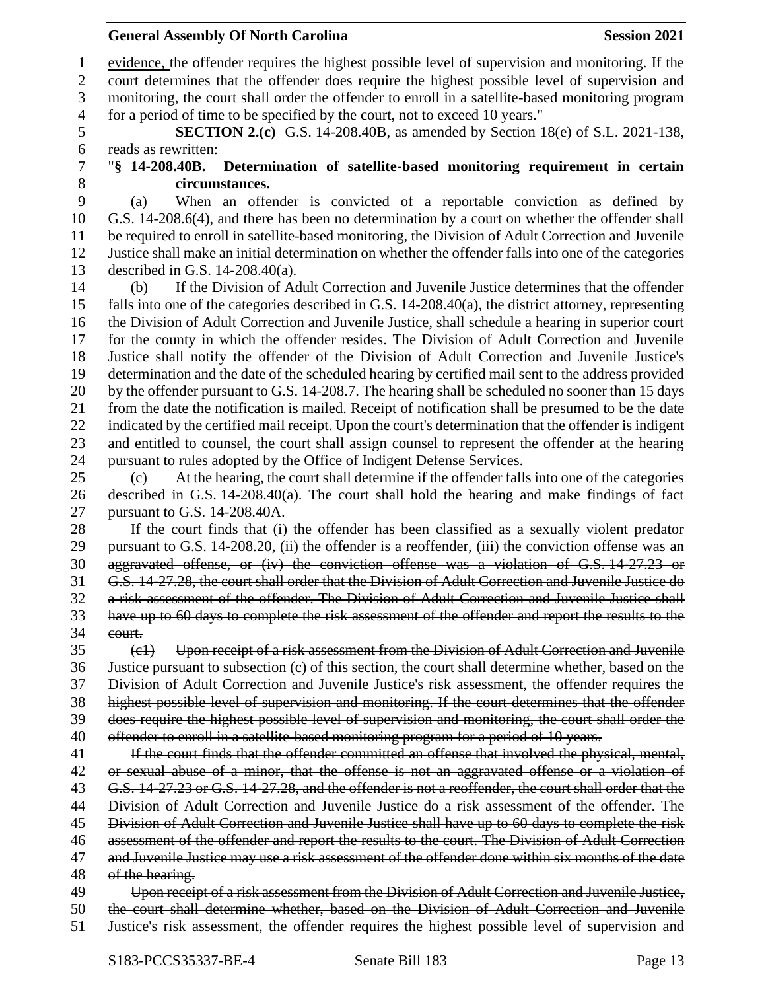evidence, the offender requires the highest possible level of supervision and monitoring. If the court determines that the offender does require the highest possible level of supervision and monitoring, the court shall order the offender to enroll in a satellite-based monitoring program for a period of time to be specified by the court, not to exceed 10 years." **SECTION 2.(c)** G.S. 14-208.40B, as amended by Section 18(e) of S.L. 2021-138, reads as rewritten: "**§ 14-208.40B. Determination of satellite-based monitoring requirement in certain circumstances.** (a) When an offender is convicted of a reportable conviction as defined by G.S. 14-208.6(4), and there has been no determination by a court on whether the offender shall be required to enroll in satellite-based monitoring, the Division of Adult Correction and Juvenile Justice shall make an initial determination on whether the offender falls into one of the categories described in G.S. 14-208.40(a). (b) If the Division of Adult Correction and Juvenile Justice determines that the offender falls into one of the categories described in G.S. 14-208.40(a), the district attorney, representing the Division of Adult Correction and Juvenile Justice, shall schedule a hearing in superior court for the county in which the offender resides. The Division of Adult Correction and Juvenile Justice shall notify the offender of the Division of Adult Correction and Juvenile Justice's determination and the date of the scheduled hearing by certified mail sent to the address provided by the offender pursuant to G.S. 14-208.7. The hearing shall be scheduled no sooner than 15 days from the date the notification is mailed. Receipt of notification shall be presumed to be the date indicated by the certified mail receipt. Upon the court's determination that the offender is indigent and entitled to counsel, the court shall assign counsel to represent the offender at the hearing pursuant to rules adopted by the Office of Indigent Defense Services. (c) At the hearing, the court shall determine if the offender falls into one of the categories

 described in G.S. 14-208.40(a). The court shall hold the hearing and make findings of fact pursuant to G.S. 14-208.40A.

 If the court finds that (i) the offender has been classified as a sexually violent predator pursuant to G.S. 14-208.20, (ii) the offender is a reoffender, (iii) the conviction offense was an aggravated offense, or (iv) the conviction offense was a violation of G.S. 14-27.23 or G.S. 14-27.28, the court shall order that the Division of Adult Correction and Juvenile Justice do a risk assessment of the offender. The Division of Adult Correction and Juvenile Justice shall have up to 60 days to complete the risk assessment of the offender and report the results to the court.

 (c1) Upon receipt of a risk assessment from the Division of Adult Correction and Juvenile Justice pursuant to subsection (c) of this section, the court shall determine whether, based on the Division of Adult Correction and Juvenile Justice's risk assessment, the offender requires the highest possible level of supervision and monitoring. If the court determines that the offender does require the highest possible level of supervision and monitoring, the court shall order the 40 offender to enroll in a satellite-based monitoring program for a period of 10 years.

 If the court finds that the offender committed an offense that involved the physical, mental, or sexual abuse of a minor, that the offense is not an aggravated offense or a violation of G.S. 14-27.23 or G.S. 14-27.28, and the offender is not a reoffender, the court shall order that the Division of Adult Correction and Juvenile Justice do a risk assessment of the offender. The Division of Adult Correction and Juvenile Justice shall have up to 60 days to complete the risk assessment of the offender and report the results to the court. The Division of Adult Correction 47 and Juvenile Justice may use a risk assessment of the offender done within six months of the date of the hearing. Upon receipt of a risk assessment from the Division of Adult Correction and Juvenile Justice, the court shall determine whether, based on the Division of Adult Correction and Juvenile

Justice's risk assessment, the offender requires the highest possible level of supervision and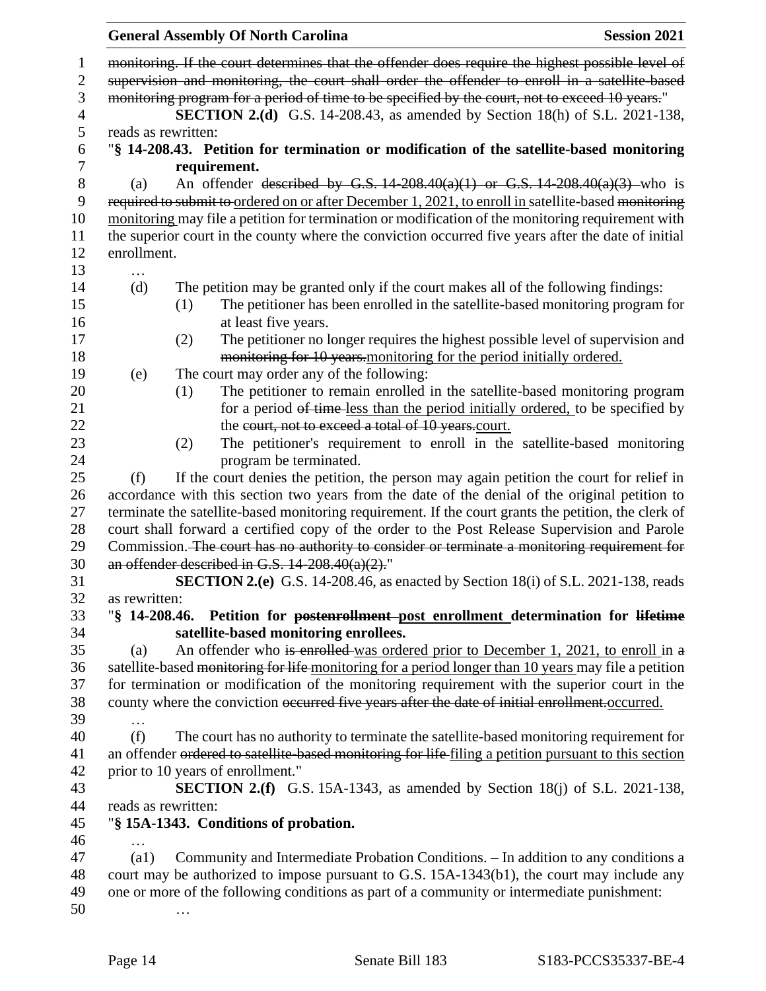|                                                                                                |     | <b>General Assembly Of North Carolina</b>                                                             | <b>Session 2021</b> |  |  |
|------------------------------------------------------------------------------------------------|-----|-------------------------------------------------------------------------------------------------------|---------------------|--|--|
|                                                                                                |     | monitoring. If the court determines that the offender does require the highest possible level of      |                     |  |  |
| supervision and monitoring, the court shall order the offender to enroll in a satellite-based  |     |                                                                                                       |                     |  |  |
| monitoring program for a period of time to be specified by the court, not to exceed 10 years." |     |                                                                                                       |                     |  |  |
|                                                                                                |     | <b>SECTION 2.(d)</b> G.S. 14-208.43, as amended by Section 18(h) of S.L. 2021-138,                    |                     |  |  |
| reads as rewritten:                                                                            |     |                                                                                                       |                     |  |  |
|                                                                                                |     | "§ 14-208.43. Petition for termination or modification of the satellite-based monitoring              |                     |  |  |
|                                                                                                |     | requirement.                                                                                          |                     |  |  |
| (a)                                                                                            |     | An offender described by G.S. $14-208.40(a)(1)$ or G.S. $14-208.40(a)(3)$ who is                      |                     |  |  |
|                                                                                                |     | required to submit to ordered on or after December 1, 2021, to enroll in satellite-based monitoring   |                     |  |  |
|                                                                                                |     | monitoring may file a petition for termination or modification of the monitoring requirement with     |                     |  |  |
|                                                                                                |     | the superior court in the county where the conviction occurred five years after the date of initial   |                     |  |  |
| enrollment.                                                                                    |     |                                                                                                       |                     |  |  |
|                                                                                                |     |                                                                                                       |                     |  |  |
| (d)                                                                                            |     | The petition may be granted only if the court makes all of the following findings:                    |                     |  |  |
|                                                                                                | (1) | The petitioner has been enrolled in the satellite-based monitoring program for                        |                     |  |  |
|                                                                                                |     | at least five years.                                                                                  |                     |  |  |
|                                                                                                | (2) | The petitioner no longer requires the highest possible level of supervision and                       |                     |  |  |
|                                                                                                |     | monitoring for 10 years monitoring for the period initially ordered.                                  |                     |  |  |
| (e)                                                                                            |     | The court may order any of the following:                                                             |                     |  |  |
|                                                                                                | (1) | The petitioner to remain enrolled in the satellite-based monitoring program                           |                     |  |  |
|                                                                                                |     | for a period of time-less than the period initially ordered, to be specified by                       |                     |  |  |
|                                                                                                |     | the court, not to exceed a total of 10 years.court.                                                   |                     |  |  |
|                                                                                                | (2) | The petitioner's requirement to enroll in the satellite-based monitoring                              |                     |  |  |
|                                                                                                |     | program be terminated.                                                                                |                     |  |  |
| (f)                                                                                            |     | If the court denies the petition, the person may again petition the court for relief in               |                     |  |  |
|                                                                                                |     | accordance with this section two years from the date of the denial of the original petition to        |                     |  |  |
|                                                                                                |     | terminate the satellite-based monitoring requirement. If the court grants the petition, the clerk of  |                     |  |  |
|                                                                                                |     | court shall forward a certified copy of the order to the Post Release Supervision and Parole          |                     |  |  |
|                                                                                                |     | Commission. The court has no authority to consider or terminate a monitoring requirement for          |                     |  |  |
|                                                                                                |     | an offender described in G.S. $14-208.40(a)(2)$ ."                                                    |                     |  |  |
|                                                                                                |     | SECTION 2.(e) G.S. 14-208.46, as enacted by Section 18(i) of S.L. 2021-138, reads                     |                     |  |  |
| as rewritten:                                                                                  |     |                                                                                                       |                     |  |  |
| $\sqrt{8}$ 14-208.46.                                                                          |     | Petition for postenrollment-post enrollment determination for lifetime                                |                     |  |  |
|                                                                                                |     | satellite-based monitoring enrollees.                                                                 |                     |  |  |
| (a)                                                                                            |     | An offender who is enrolled was ordered prior to December 1, 2021, to enroll in a                     |                     |  |  |
|                                                                                                |     | satellite-based monitoring for life-monitoring for a period longer than 10 years may file a petition  |                     |  |  |
|                                                                                                |     | for termination or modification of the monitoring requirement with the superior court in the          |                     |  |  |
|                                                                                                |     | county where the conviction occurred five years after the date of initial enrollment.occurred.        |                     |  |  |
|                                                                                                |     |                                                                                                       |                     |  |  |
| .<br>(f)                                                                                       |     | The court has no authority to terminate the satellite-based monitoring requirement for                |                     |  |  |
|                                                                                                |     | an offender ordered to satellite based monitoring for life filing a petition pursuant to this section |                     |  |  |
|                                                                                                |     | prior to 10 years of enrollment."                                                                     |                     |  |  |
|                                                                                                |     | <b>SECTION 2.(f)</b> G.S. 15A-1343, as amended by Section 18(j) of S.L. 2021-138,                     |                     |  |  |
| reads as rewritten:                                                                            |     |                                                                                                       |                     |  |  |
|                                                                                                |     | "§ 15A-1343. Conditions of probation.                                                                 |                     |  |  |
|                                                                                                |     |                                                                                                       |                     |  |  |
| .<br>$\left( a1\right)$                                                                        |     | Community and Intermediate Probation Conditions. - In addition to any conditions a                    |                     |  |  |
|                                                                                                |     | court may be authorized to impose pursuant to G.S. 15A-1343(b1), the court may include any            |                     |  |  |
|                                                                                                |     | one or more of the following conditions as part of a community or intermediate punishment:            |                     |  |  |
|                                                                                                |     |                                                                                                       |                     |  |  |
|                                                                                                |     |                                                                                                       |                     |  |  |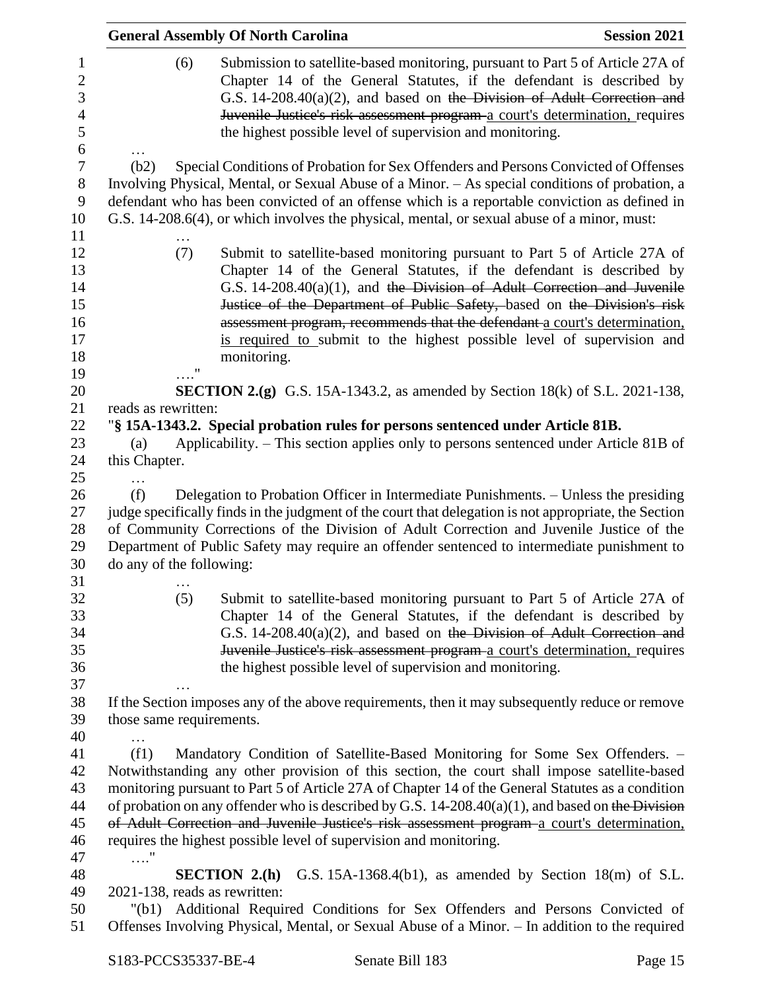|                                             | <b>General Assembly Of North Carolina</b>                                                                                                                                                                                                                                                                                                                                                                                                                                                                                                                   | <b>Session 2021</b> |
|---------------------------------------------|-------------------------------------------------------------------------------------------------------------------------------------------------------------------------------------------------------------------------------------------------------------------------------------------------------------------------------------------------------------------------------------------------------------------------------------------------------------------------------------------------------------------------------------------------------------|---------------------|
| (6)                                         | Submission to satellite-based monitoring, pursuant to Part 5 of Article 27A of<br>Chapter 14 of the General Statutes, if the defendant is described by<br>G.S. $14-208.40(a)(2)$ , and based on the Division of Adult Correction and<br>Juvenile Justice's risk assessment program a court's determination, requires<br>the highest possible level of supervision and monitoring.                                                                                                                                                                           |                     |
| (b2)                                        | Special Conditions of Probation for Sex Offenders and Persons Convicted of Offenses<br>Involving Physical, Mental, or Sexual Abuse of a Minor. – As special conditions of probation, a<br>defendant who has been convicted of an offense which is a reportable conviction as defined in<br>G.S. 14-208.6(4), or which involves the physical, mental, or sexual abuse of a minor, must:                                                                                                                                                                      |                     |
| (7)                                         | Submit to satellite-based monitoring pursuant to Part 5 of Article 27A of<br>Chapter 14 of the General Statutes, if the defendant is described by<br>G.S. $14-208.40(a)(1)$ , and the Division of Adult Correction and Juvenile<br>Justice of the Department of Public Safety, based on the Division's risk<br>assessment program, recommends that the defendant a court's determination,<br>is required to submit to the highest possible level of supervision and<br>monitoring.                                                                          |                     |
|                                             | <b>SECTION 2.(g)</b> G.S. 15A-1343.2, as amended by Section 18(k) of S.L. 2021-138,                                                                                                                                                                                                                                                                                                                                                                                                                                                                         |                     |
| reads as rewritten:<br>(a)<br>this Chapter. | "§ 15A-1343.2. Special probation rules for persons sentenced under Article 81B.<br>Applicability. – This section applies only to persons sentenced under Article 81B of                                                                                                                                                                                                                                                                                                                                                                                     |                     |
| (f)<br>do any of the following:             | Delegation to Probation Officer in Intermediate Punishments. – Unless the presiding<br>judge specifically finds in the judgment of the court that delegation is not appropriate, the Section<br>of Community Corrections of the Division of Adult Correction and Juvenile Justice of the<br>Department of Public Safety may require an offender sentenced to intermediate punishment to                                                                                                                                                                     |                     |
| $\sim$ $\sim$ $\sim$ $\sim$ $\sim$<br>(5)   | Submit to satellite-based monitoring pursuant to Part 5 of Article 27A of<br>Chapter 14 of the General Statutes, if the defendant is described by<br>G.S. $14-208.40(a)(2)$ , and based on the Division of Adult Correction and<br>Juvenile Justice's risk assessment program a court's determination, requires<br>the highest possible level of supervision and monitoring.                                                                                                                                                                                |                     |
| those same requirements.                    | If the Section imposes any of the above requirements, then it may subsequently reduce or remove                                                                                                                                                                                                                                                                                                                                                                                                                                                             |                     |
| $\cdots$<br>(f1)                            | Mandatory Condition of Satellite-Based Monitoring for Some Sex Offenders. -<br>Notwithstanding any other provision of this section, the court shall impose satellite-based<br>monitoring pursuant to Part 5 of Article 27A of Chapter 14 of the General Statutes as a condition<br>of probation on any offender who is described by G.S. $14-208.40(a)(1)$ , and based on the Division<br>of Adult Correction and Juvenile Justice's risk assessment program-a court's determination,<br>requires the highest possible level of supervision and monitoring. |                     |
| $\ldots$ "<br>2021-138, reads as rewritten: | <b>SECTION 2.(h)</b> G.S. 15A-1368.4(b1), as amended by Section 18(m) of S.L.<br>"(b1) Additional Required Conditions for Sex Offenders and Persons Convicted of<br>Offenses Involving Physical, Mental, or Sexual Abuse of a Minor. - In addition to the required                                                                                                                                                                                                                                                                                          |                     |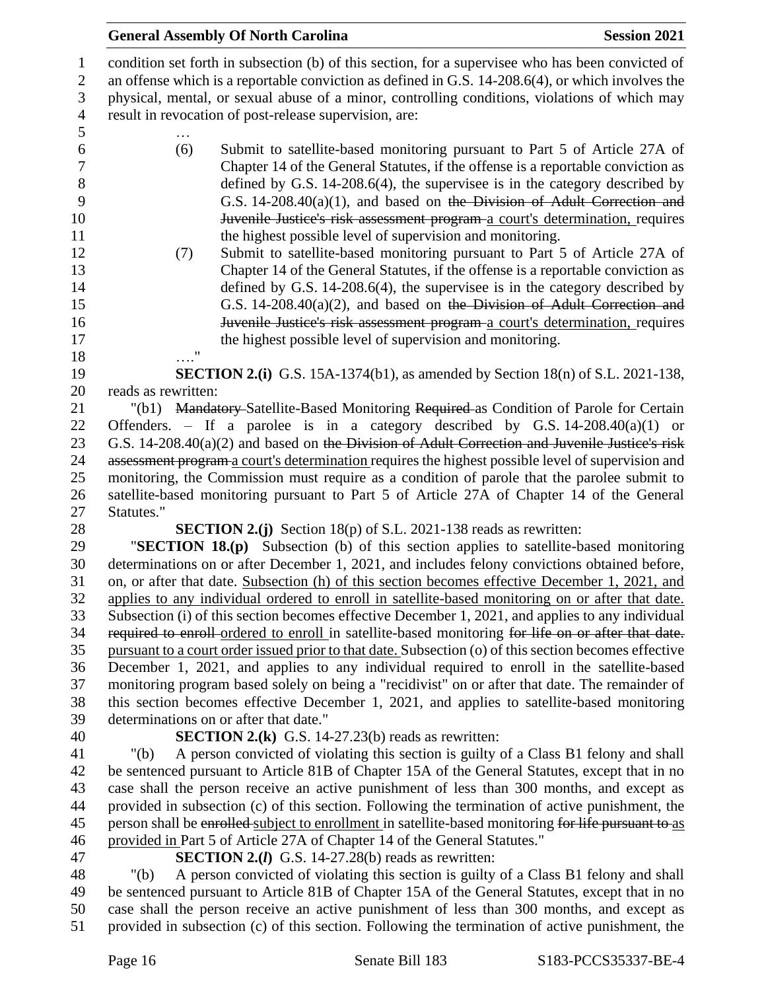|                     | <b>General Assembly Of North Carolina</b>                                                                                                                                                                                                                                                                                                                                                                                                                                                                                                                                                                                                                                                                                                                                                                                                                                                                                                                                                                                                                                                                                         | <b>Session 2021</b> |
|---------------------|-----------------------------------------------------------------------------------------------------------------------------------------------------------------------------------------------------------------------------------------------------------------------------------------------------------------------------------------------------------------------------------------------------------------------------------------------------------------------------------------------------------------------------------------------------------------------------------------------------------------------------------------------------------------------------------------------------------------------------------------------------------------------------------------------------------------------------------------------------------------------------------------------------------------------------------------------------------------------------------------------------------------------------------------------------------------------------------------------------------------------------------|---------------------|
|                     | condition set forth in subsection (b) of this section, for a supervisee who has been convicted of<br>an offense which is a reportable conviction as defined in G.S. $14-208.6(4)$ , or which involves the<br>physical, mental, or sexual abuse of a minor, controlling conditions, violations of which may<br>result in revocation of post-release supervision, are:                                                                                                                                                                                                                                                                                                                                                                                                                                                                                                                                                                                                                                                                                                                                                              |                     |
| (6)<br>(7)          | Submit to satellite-based monitoring pursuant to Part 5 of Article 27A of<br>Chapter 14 of the General Statutes, if the offense is a reportable conviction as<br>defined by G.S. $14-208.6(4)$ , the supervisee is in the category described by<br>G.S. $14-208.40(a)(1)$ , and based on the Division of Adult Correction and<br>Juvenile Justice's risk assessment program a court's determination, requires<br>the highest possible level of supervision and monitoring.<br>Submit to satellite-based monitoring pursuant to Part 5 of Article 27A of<br>Chapter 14 of the General Statutes, if the offense is a reportable conviction as<br>defined by G.S. $14-208.6(4)$ , the supervisee is in the category described by<br>G.S. $14-208.40(a)(2)$ , and based on the Division of Adult Correction and<br>Juvenile Justice's risk assessment program a court's determination, requires<br>the highest possible level of supervision and monitoring.                                                                                                                                                                          |                     |
|                     |                                                                                                                                                                                                                                                                                                                                                                                                                                                                                                                                                                                                                                                                                                                                                                                                                                                                                                                                                                                                                                                                                                                                   |                     |
| reads as rewritten: | <b>SECTION 2.(i)</b> G.S. 15A-1374(b1), as amended by Section 18(n) of S.L. 2021-138,                                                                                                                                                                                                                                                                                                                                                                                                                                                                                                                                                                                                                                                                                                                                                                                                                                                                                                                                                                                                                                             |                     |
|                     | "(b1) Mandatory-Satellite-Based Monitoring Required as Condition of Parole for Certain                                                                                                                                                                                                                                                                                                                                                                                                                                                                                                                                                                                                                                                                                                                                                                                                                                                                                                                                                                                                                                            |                     |
| Statutes."          | Offenders. – If a parolee is in a category described by G.S. $14-208.40(a)(1)$ or<br>G.S. 14-208.40(a)(2) and based on the Division of Adult Correction and Juvenile Justice's risk<br>assessment program a court's determination requires the highest possible level of supervision and<br>monitoring, the Commission must require as a condition of parole that the parolee submit to<br>satellite-based monitoring pursuant to Part 5 of Article 27A of Chapter 14 of the General                                                                                                                                                                                                                                                                                                                                                                                                                                                                                                                                                                                                                                              |                     |
|                     | <b>SECTION 2.(j)</b> Section 18(p) of S.L. 2021-138 reads as rewritten:<br>"SECTION 18.(p) Subsection (b) of this section applies to satellite-based monitoring<br>determinations on or after December 1, 2021, and includes felony convictions obtained before,<br>on, or after that date. Subsection (h) of this section becomes effective December 1, 2021, and<br>applies to any individual ordered to enroll in satellite-based monitoring on or after that date.<br>Subsection (i) of this section becomes effective December 1, 2021, and applies to any individual<br>required to enroll-ordered to enroll in satellite-based monitoring for life on or after that date.<br>pursuant to a court order issued prior to that date. Subsection (o) of this section becomes effective<br>December 1, 2021, and applies to any individual required to enroll in the satellite-based<br>monitoring program based solely on being a "recidivist" on or after that date. The remainder of<br>this section becomes effective December 1, 2021, and applies to satellite-based monitoring<br>determinations on or after that date." |                     |
| " $(b)$<br>" $(b)$  | <b>SECTION 2.(k)</b> G.S. 14-27.23(b) reads as rewritten:<br>A person convicted of violating this section is guilty of a Class B1 felony and shall<br>be sentenced pursuant to Article 81B of Chapter 15A of the General Statutes, except that in no<br>case shall the person receive an active punishment of less than 300 months, and except as<br>provided in subsection (c) of this section. Following the termination of active punishment, the<br>person shall be enrolled subject to enrollment in satellite-based monitoring for life pursuant to as<br>provided in Part 5 of Article 27A of Chapter 14 of the General Statutes."<br><b>SECTION 2.(I)</b> G.S. 14-27.28(b) reads as rewritten:<br>A person convicted of violating this section is guilty of a Class B1 felony and shall<br>be sentenced pursuant to Article 81B of Chapter 15A of the General Statutes, except that in no<br>case shall the person receive an active punishment of less than 300 months, and except as<br>provided in subsection (c) of this section. Following the termination of active punishment, the                                 |                     |
| Page 16             | Senate Bill 183                                                                                                                                                                                                                                                                                                                                                                                                                                                                                                                                                                                                                                                                                                                                                                                                                                                                                                                                                                                                                                                                                                                   | S183-PCCS35337-BE-4 |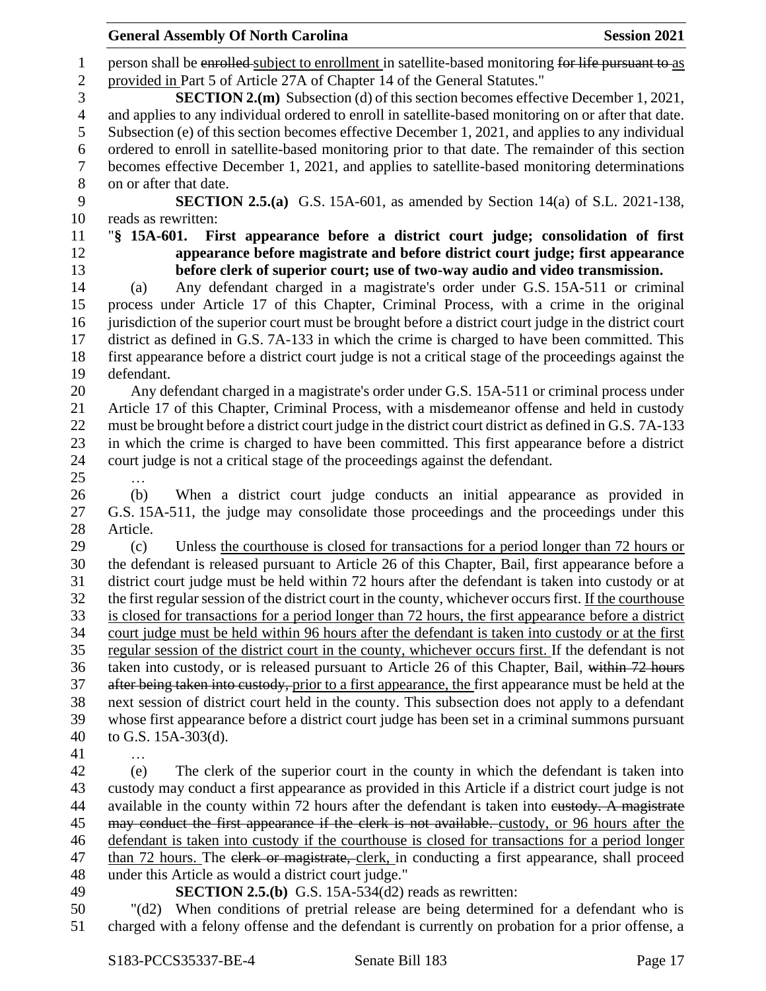| $\mathbf{1}$   | person shall be enrolled subject to enrollment in satellite-based monitoring for life pursuant to as     |
|----------------|----------------------------------------------------------------------------------------------------------|
| $\overline{2}$ | provided in Part 5 of Article 27A of Chapter 14 of the General Statutes."                                |
| 3              | <b>SECTION 2.(m)</b> Subsection (d) of this section becomes effective December 1, 2021,                  |
| 4              | and applies to any individual ordered to enroll in satellite-based monitoring on or after that date.     |
| 5              | Subsection (e) of this section becomes effective December 1, 2021, and applies to any individual         |
| 6              | ordered to enroll in satellite-based monitoring prior to that date. The remainder of this section        |
| 7              | becomes effective December 1, 2021, and applies to satellite-based monitoring determinations             |
| $8\,$          | on or after that date.                                                                                   |
| 9              | <b>SECTION 2.5.(a)</b> G.S. 15A-601, as amended by Section 14(a) of S.L. 2021-138,                       |
| 10             | reads as rewritten:                                                                                      |
| 11             | "§ 15A-601. First appearance before a district court judge; consolidation of first                       |
| 12             | appearance before magistrate and before district court judge; first appearance                           |
| 13             | before clerk of superior court; use of two-way audio and video transmission.                             |
| 14             | Any defendant charged in a magistrate's order under G.S. 15A-511 or criminal<br>(a)                      |
| 15             | process under Article 17 of this Chapter, Criminal Process, with a crime in the original                 |
| 16             | jurisdiction of the superior court must be brought before a district court judge in the district court   |
| 17             | district as defined in G.S. 7A-133 in which the crime is charged to have been committed. This            |
| 18             | first appearance before a district court judge is not a critical stage of the proceedings against the    |
| 19             | defendant.                                                                                               |
| 20             | Any defendant charged in a magistrate's order under G.S. 15A-511 or criminal process under               |
| 21             | Article 17 of this Chapter, Criminal Process, with a misdemeanor offense and held in custody             |
| 22             | must be brought before a district court judge in the district court district as defined in G.S. 7A-133   |
| 23             | in which the crime is charged to have been committed. This first appearance before a district            |
| 24             | court judge is not a critical stage of the proceedings against the defendant.                            |
| 25             |                                                                                                          |
| 26             | When a district court judge conducts an initial appearance as provided in<br>(b)                         |
| 27             | G.S. 15A-511, the judge may consolidate those proceedings and the proceedings under this                 |
| 28             | Article.                                                                                                 |
| 29             | Unless the courthouse is closed for transactions for a period longer than 72 hours or<br>(c)             |
| 30             | the defendant is released pursuant to Article 26 of this Chapter, Bail, first appearance before a        |
| 31             | district court judge must be held within 72 hours after the defendant is taken into custody or at        |
| 32             | the first regular session of the district court in the county, whichever occurs first. If the courthouse |
| 33             | is closed for transactions for a period longer than 72 hours, the first appearance before a district     |
| 34             | court judge must be held within 96 hours after the defendant is taken into custody or at the first       |
| 35             | regular session of the district court in the county, whichever occurs first. If the defendant is not     |
| 36             | taken into custody, or is released pursuant to Article 26 of this Chapter, Bail, within 72 hours         |
| 37             | after being taken into custody, prior to a first appearance, the first appearance must be held at the    |
| 38             | next session of district court held in the county. This subsection does not apply to a defendant         |
| 39             | whose first appearance before a district court judge has been set in a criminal summons pursuant         |
| 40             | to G.S. $15A-303(d)$ .                                                                                   |
| 41             |                                                                                                          |
| 42             | The clerk of the superior court in the county in which the defendant is taken into<br>(e)                |
| 43             | custody may conduct a first appearance as provided in this Article if a district court judge is not      |
| 44             | available in the county within 72 hours after the defendant is taken into eustody. A magistrate          |
| 45             | may conduct the first appearance if the clerk is not available. custody, or 96 hours after the           |
| 46             | defendant is taken into custody if the courthouse is closed for transactions for a period longer         |
| 47             | than 72 hours. The elerk or magistrate, clerk, in conducting a first appearance, shall proceed           |
| 48             | under this Article as would a district court judge."                                                     |
| 49             | <b>SECTION 2.5.(b)</b> G.S. 15A-534(d2) reads as rewritten:                                              |
| 50             | When conditions of pretrial release are being determined for a defendant who is<br>$"({\rm d}2)$         |
| 51             | charged with a felony offense and the defendant is currently on probation for a prior offense, a         |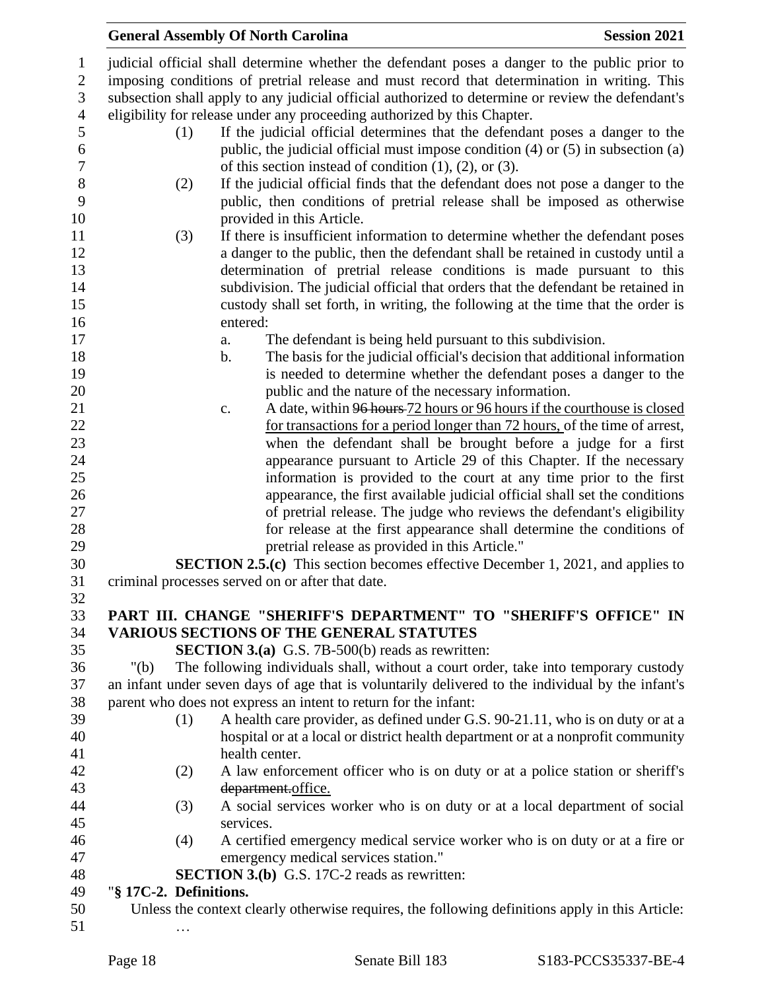# **General Assembly Of North Carolina Session 2021**  judicial official shall determine whether the defendant poses a danger to the public prior to imposing conditions of pretrial release and must record that determination in writing. This subsection shall apply to any judicial official authorized to determine or review the defendant's eligibility for release under any proceeding authorized by this Chapter. (1) If the judicial official determines that the defendant poses a danger to the 6 bublic, the judicial official must impose condition  $(4)$  or  $(5)$  in subsection (a) 7 of this section instead of condition (1), (2), or (3). (2) If the judicial official finds that the defendant does not pose a danger to the public, then conditions of pretrial release shall be imposed as otherwise provided in this Article. (3) If there is insufficient information to determine whether the defendant poses a danger to the public, then the defendant shall be retained in custody until a determination of pretrial release conditions is made pursuant to this subdivision. The judicial official that orders that the defendant be retained in custody shall set forth, in writing, the following at the time that the order is entered: a. The defendant is being held pursuant to this subdivision. b. The basis for the judicial official's decision that additional information is needed to determine whether the defendant poses a danger to the public and the nature of the necessary information. 21 c. A date, within 96 hours 72 hours or 96 hours if the courthouse is closed for transactions for a period longer than 72 hours, of the time of arrest, when the defendant shall be brought before a judge for a first appearance pursuant to Article 29 of this Chapter. If the necessary information is provided to the court at any time prior to the first appearance, the first available judicial official shall set the conditions of pretrial release. The judge who reviews the defendant's eligibility for release at the first appearance shall determine the conditions of

- pretrial release as provided in this Article." **SECTION 2.5.(c)** This section becomes effective December 1, 2021, and applies to criminal processes served on or after that date.
- 

## **PART III. CHANGE "SHERIFF'S DEPARTMENT" TO "SHERIFF'S OFFICE" IN VARIOUS SECTIONS OF THE GENERAL STATUTES**

**SECTION 3.(a)** G.S. 7B-500(b) reads as rewritten:

 "(b) The following individuals shall, without a court order, take into temporary custody an infant under seven days of age that is voluntarily delivered to the individual by the infant's parent who does not express an intent to return for the infant:

- (1) A health care provider, as defined under G.S. 90-21.11, who is on duty or at a hospital or at a local or district health department or at a nonprofit community health center.
- (2) A law enforcement officer who is on duty or at a police station or sheriff's department.office.
- (3) A social services worker who is on duty or at a local department of social services.
- (4) A certified emergency medical service worker who is on duty or at a fire or emergency medical services station."
- **SECTION 3.(b)** G.S. 17C-2 reads as rewritten:

## "**§ 17C-2. Definitions.**

 Unless the context clearly otherwise requires, the following definitions apply in this Article: …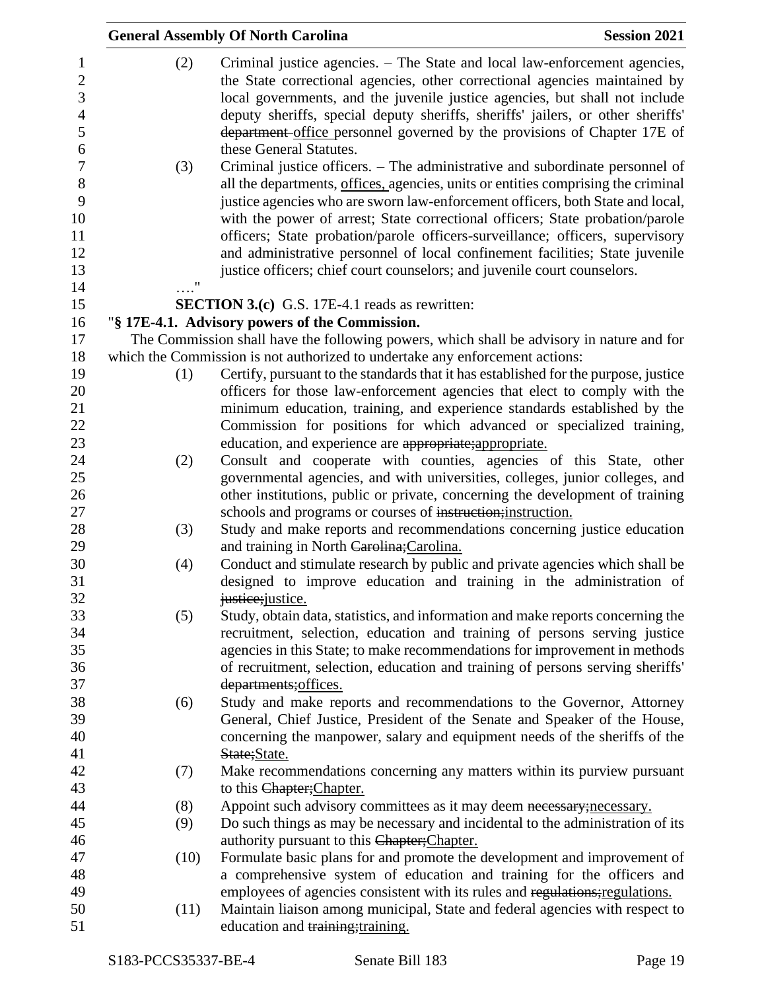|                          | <b>Session 2021</b><br><b>General Assembly Of North Carolina</b>                                                                                                                                                                                                                                                                                                                                                                                                                                                                                                                  |  |
|--------------------------|-----------------------------------------------------------------------------------------------------------------------------------------------------------------------------------------------------------------------------------------------------------------------------------------------------------------------------------------------------------------------------------------------------------------------------------------------------------------------------------------------------------------------------------------------------------------------------------|--|
| (2)                      | Criminal justice agencies. – The State and local law-enforcement agencies,<br>the State correctional agencies, other correctional agencies maintained by<br>local governments, and the juvenile justice agencies, but shall not include<br>deputy sheriffs, special deputy sheriffs, sheriffs' jailers, or other sheriffs'<br>department office personnel governed by the provisions of Chapter 17E of<br>these General Statutes.                                                                                                                                                 |  |
| (3)<br>$^{\prime\prime}$ | Criminal justice officers. – The administrative and subordinate personnel of<br>all the departments, offices, agencies, units or entities comprising the criminal<br>justice agencies who are sworn law-enforcement officers, both State and local,<br>with the power of arrest; State correctional officers; State probation/parole<br>officers; State probation/parole officers-surveillance; officers, supervisory<br>and administrative personnel of local confinement facilities; State juvenile<br>justice officers; chief court counselors; and juvenile court counselors. |  |
|                          | <b>SECTION 3.(c)</b> G.S. 17E-4.1 reads as rewritten:                                                                                                                                                                                                                                                                                                                                                                                                                                                                                                                             |  |
|                          | "§ 17E-4.1. Advisory powers of the Commission.                                                                                                                                                                                                                                                                                                                                                                                                                                                                                                                                    |  |
|                          | The Commission shall have the following powers, which shall be advisory in nature and for                                                                                                                                                                                                                                                                                                                                                                                                                                                                                         |  |
|                          | which the Commission is not authorized to undertake any enforcement actions:                                                                                                                                                                                                                                                                                                                                                                                                                                                                                                      |  |
| (1)                      | Certify, pursuant to the standards that it has established for the purpose, justice                                                                                                                                                                                                                                                                                                                                                                                                                                                                                               |  |
|                          | officers for those law-enforcement agencies that elect to comply with the                                                                                                                                                                                                                                                                                                                                                                                                                                                                                                         |  |
|                          | minimum education, training, and experience standards established by the                                                                                                                                                                                                                                                                                                                                                                                                                                                                                                          |  |
|                          | Commission for positions for which advanced or specialized training,                                                                                                                                                                                                                                                                                                                                                                                                                                                                                                              |  |
|                          | education, and experience are appropriate; appropriate.                                                                                                                                                                                                                                                                                                                                                                                                                                                                                                                           |  |
| (2)                      | Consult and cooperate with counties, agencies of this State, other                                                                                                                                                                                                                                                                                                                                                                                                                                                                                                                |  |
|                          | governmental agencies, and with universities, colleges, junior colleges, and                                                                                                                                                                                                                                                                                                                                                                                                                                                                                                      |  |
|                          | other institutions, public or private, concerning the development of training<br>schools and programs or courses of instruction; instruction.                                                                                                                                                                                                                                                                                                                                                                                                                                     |  |
| (3)                      | Study and make reports and recommendations concerning justice education                                                                                                                                                                                                                                                                                                                                                                                                                                                                                                           |  |
|                          | and training in North Carolina; Carolina.                                                                                                                                                                                                                                                                                                                                                                                                                                                                                                                                         |  |
| (4)                      | Conduct and stimulate research by public and private agencies which shall be                                                                                                                                                                                                                                                                                                                                                                                                                                                                                                      |  |
|                          | designed to improve education and training in the administration of                                                                                                                                                                                                                                                                                                                                                                                                                                                                                                               |  |
|                          | justice; justice.                                                                                                                                                                                                                                                                                                                                                                                                                                                                                                                                                                 |  |
| (5)                      | Study, obtain data, statistics, and information and make reports concerning the                                                                                                                                                                                                                                                                                                                                                                                                                                                                                                   |  |
|                          | recruitment, selection, education and training of persons serving justice                                                                                                                                                                                                                                                                                                                                                                                                                                                                                                         |  |
|                          | agencies in this State; to make recommendations for improvement in methods                                                                                                                                                                                                                                                                                                                                                                                                                                                                                                        |  |
|                          | of recruitment, selection, education and training of persons serving sheriffs'                                                                                                                                                                                                                                                                                                                                                                                                                                                                                                    |  |
|                          | departments; offices.                                                                                                                                                                                                                                                                                                                                                                                                                                                                                                                                                             |  |
| (6)                      | Study and make reports and recommendations to the Governor, Attorney                                                                                                                                                                                                                                                                                                                                                                                                                                                                                                              |  |
|                          | General, Chief Justice, President of the Senate and Speaker of the House,                                                                                                                                                                                                                                                                                                                                                                                                                                                                                                         |  |
|                          | concerning the manpower, salary and equipment needs of the sheriffs of the                                                                                                                                                                                                                                                                                                                                                                                                                                                                                                        |  |
| (7)                      | State;State.<br>Make recommendations concerning any matters within its purview pursuant                                                                                                                                                                                                                                                                                                                                                                                                                                                                                           |  |
|                          | to this Chapter; Chapter.                                                                                                                                                                                                                                                                                                                                                                                                                                                                                                                                                         |  |
| (8)                      | Appoint such advisory committees as it may deem necessary; necessary.                                                                                                                                                                                                                                                                                                                                                                                                                                                                                                             |  |
| (9)                      | Do such things as may be necessary and incidental to the administration of its                                                                                                                                                                                                                                                                                                                                                                                                                                                                                                    |  |
|                          | authority pursuant to this Chapter; Chapter.                                                                                                                                                                                                                                                                                                                                                                                                                                                                                                                                      |  |
| (10)                     | Formulate basic plans for and promote the development and improvement of                                                                                                                                                                                                                                                                                                                                                                                                                                                                                                          |  |
|                          | a comprehensive system of education and training for the officers and                                                                                                                                                                                                                                                                                                                                                                                                                                                                                                             |  |
|                          | employees of agencies consistent with its rules and regulations; regulations.                                                                                                                                                                                                                                                                                                                                                                                                                                                                                                     |  |
| (11)                     | Maintain liaison among municipal, State and federal agencies with respect to                                                                                                                                                                                                                                                                                                                                                                                                                                                                                                      |  |
|                          | education and training; training.                                                                                                                                                                                                                                                                                                                                                                                                                                                                                                                                                 |  |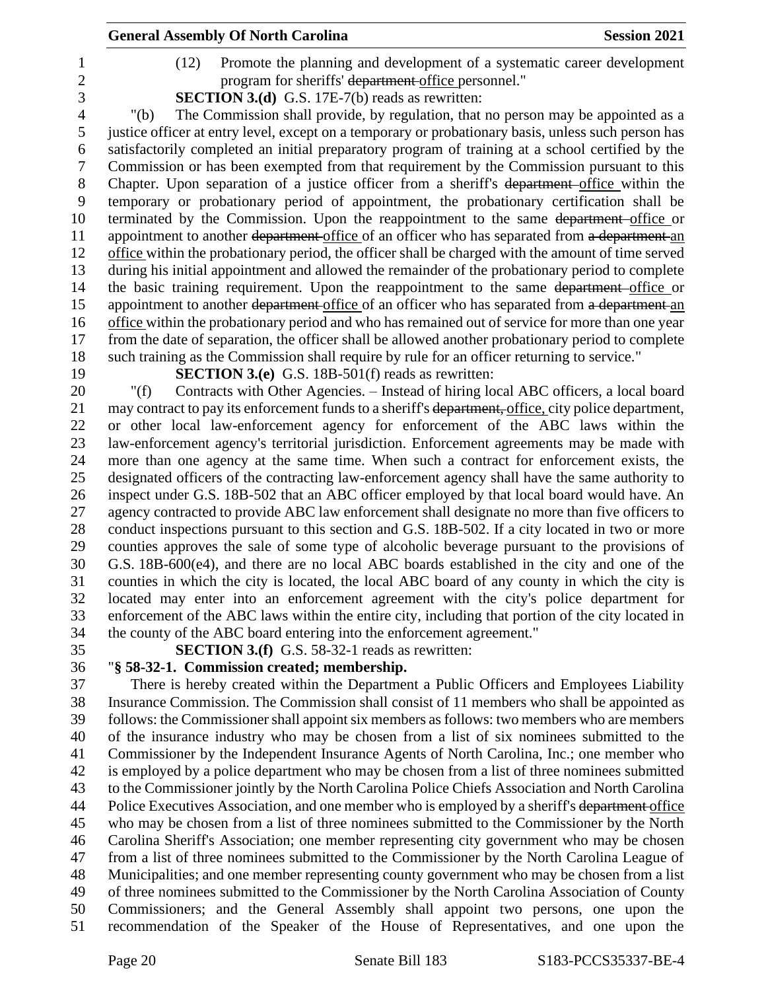| <b>General Assembly Of North Carolina</b><br><b>Session 2021</b>                                     |
|------------------------------------------------------------------------------------------------------|
| Promote the planning and development of a systematic career development<br>(12)                      |
| program for sheriffs' department office personnel."                                                  |
| <b>SECTION 3.(d)</b> G.S. 17E-7(b) reads as rewritten:                                               |
| The Commission shall provide, by regulation, that no person may be appointed as a<br>" $(b)$         |
| justice officer at entry level, except on a temporary or probationary basis, unless such person has  |
| satisfactorily completed an initial preparatory program of training at a school certified by the     |
| Commission or has been exempted from that requirement by the Commission pursuant to this             |
| Chapter. Upon separation of a justice officer from a sheriff's department-office within the          |
| temporary or probationary period of appointment, the probationary certification shall be             |
| terminated by the Commission. Upon the reappointment to the same department office or                |
| appointment to another department office of an officer who has separated from a department an        |
| office within the probationary period, the officer shall be charged with the amount of time served   |
| during his initial appointment and allowed the remainder of the probationary period to complete      |
| the basic training requirement. Upon the reappointment to the same department office or              |
| appointment to another department office of an officer who has separated from a department an        |
| office within the probationary period and who has remained out of service for more than one year     |
| from the date of separation, the officer shall be allowed another probationary period to complete    |
| such training as the Commission shall require by rule for an officer returning to service."          |
| <b>SECTION 3.(e)</b> G.S. 18B-501(f) reads as rewritten:                                             |
| Contracts with Other Agencies. - Instead of hiring local ABC officers, a local board<br>" $(f)$      |
| may contract to pay its enforcement funds to a sheriff's department, office, city police department, |
| or other local law-enforcement agency for enforcement of the ABC laws within the                     |
| law-enforcement agency's territorial jurisdiction. Enforcement agreements may be made with           |
| more than one agency at the same time. When such a contract for enforcement exists, the              |
| designated officers of the contracting law-enforcement agency shall have the same authority to       |
| inspect under G.S. 18B-502 that an ABC officer employed by that local board would have. An           |

 inspect under G.S. 18B-502 that an ABC officer employed by that local board would have. An agency contracted to provide ABC law enforcement shall designate no more than five officers to conduct inspections pursuant to this section and G.S. 18B-502. If a city located in two or more counties approves the sale of some type of alcoholic beverage pursuant to the provisions of G.S. 18B-600(e4), and there are no local ABC boards established in the city and one of the counties in which the city is located, the local ABC board of any county in which the city is located may enter into an enforcement agreement with the city's police department for enforcement of the ABC laws within the entire city, including that portion of the city located in the county of the ABC board entering into the enforcement agreement."

**SECTION 3.(f)** G.S. 58-32-1 reads as rewritten:

### "**§ 58-32-1. Commission created; membership.**

 There is hereby created within the Department a Public Officers and Employees Liability Insurance Commission. The Commission shall consist of 11 members who shall be appointed as follows: the Commissioner shall appoint six members as follows: two members who are members of the insurance industry who may be chosen from a list of six nominees submitted to the Commissioner by the Independent Insurance Agents of North Carolina, Inc.; one member who is employed by a police department who may be chosen from a list of three nominees submitted to the Commissioner jointly by the North Carolina Police Chiefs Association and North Carolina 44 Police Executives Association, and one member who is employed by a sheriff's department office who may be chosen from a list of three nominees submitted to the Commissioner by the North Carolina Sheriff's Association; one member representing city government who may be chosen from a list of three nominees submitted to the Commissioner by the North Carolina League of Municipalities; and one member representing county government who may be chosen from a list of three nominees submitted to the Commissioner by the North Carolina Association of County Commissioners; and the General Assembly shall appoint two persons, one upon the recommendation of the Speaker of the House of Representatives, and one upon the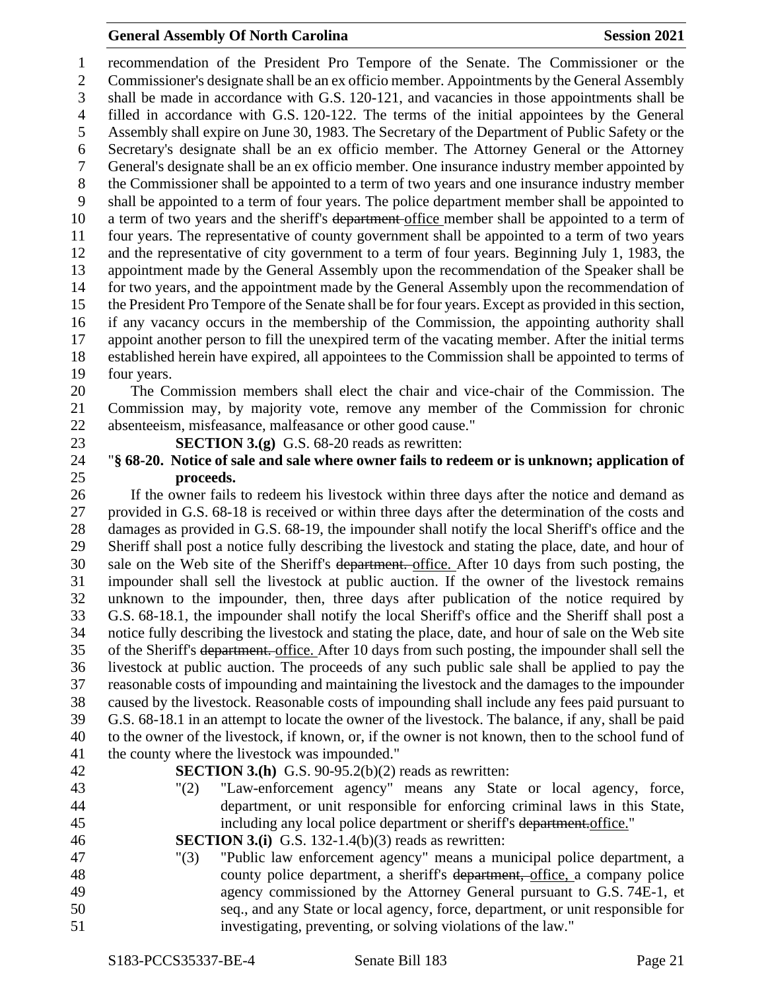recommendation of the President Pro Tempore of the Senate. The Commissioner or the Commissioner's designate shall be an ex officio member. Appointments by the General Assembly shall be made in accordance with G.S. 120-121, and vacancies in those appointments shall be filled in accordance with G.S. 120-122. The terms of the initial appointees by the General Assembly shall expire on June 30, 1983. The Secretary of the Department of Public Safety or the Secretary's designate shall be an ex officio member. The Attorney General or the Attorney General's designate shall be an ex officio member. One insurance industry member appointed by the Commissioner shall be appointed to a term of two years and one insurance industry member shall be appointed to a term of four years. The police department member shall be appointed to a term of two years and the sheriff's department office member shall be appointed to a term of four years. The representative of county government shall be appointed to a term of two years and the representative of city government to a term of four years. Beginning July 1, 1983, the appointment made by the General Assembly upon the recommendation of the Speaker shall be for two years, and the appointment made by the General Assembly upon the recommendation of the President Pro Tempore of the Senate shall be for four years. Except as provided in this section, if any vacancy occurs in the membership of the Commission, the appointing authority shall appoint another person to fill the unexpired term of the vacating member. After the initial terms established herein have expired, all appointees to the Commission shall be appointed to terms of four years.

 The Commission members shall elect the chair and vice-chair of the Commission. The Commission may, by majority vote, remove any member of the Commission for chronic absenteeism, misfeasance, malfeasance or other good cause."

**SECTION 3.(g)** G.S. 68-20 reads as rewritten:

### "**§ 68-20. Notice of sale and sale where owner fails to redeem or is unknown; application of proceeds.**

 If the owner fails to redeem his livestock within three days after the notice and demand as provided in G.S. 68-18 is received or within three days after the determination of the costs and damages as provided in G.S. 68-19, the impounder shall notify the local Sheriff's office and the Sheriff shall post a notice fully describing the livestock and stating the place, date, and hour of sale on the Web site of the Sheriff's department. office. After 10 days from such posting, the impounder shall sell the livestock at public auction. If the owner of the livestock remains unknown to the impounder, then, three days after publication of the notice required by G.S. 68-18.1, the impounder shall notify the local Sheriff's office and the Sheriff shall post a notice fully describing the livestock and stating the place, date, and hour of sale on the Web site of the Sheriff's department. office. After 10 days from such posting, the impounder shall sell the livestock at public auction. The proceeds of any such public sale shall be applied to pay the reasonable costs of impounding and maintaining the livestock and the damages to the impounder caused by the livestock. Reasonable costs of impounding shall include any fees paid pursuant to G.S. 68-18.1 in an attempt to locate the owner of the livestock. The balance, if any, shall be paid to the owner of the livestock, if known, or, if the owner is not known, then to the school fund of the county where the livestock was impounded."

- 
- 

### **SECTION 3.(h)** G.S. 90-95.2(b)(2) reads as rewritten:

- "(2) "Law-enforcement agency" means any State or local agency, force, department, or unit responsible for enforcing criminal laws in this State, 45 including any local police department or sheriff's department. office."
- **SECTION 3.(i)** G.S. 132-1.4(b)(3) reads as rewritten:
- "(3) "Public law enforcement agency" means a municipal police department, a 48 county police department, a sheriff's department, office, a company police agency commissioned by the Attorney General pursuant to G.S. 74E-1, et seq., and any State or local agency, force, department, or unit responsible for investigating, preventing, or solving violations of the law."